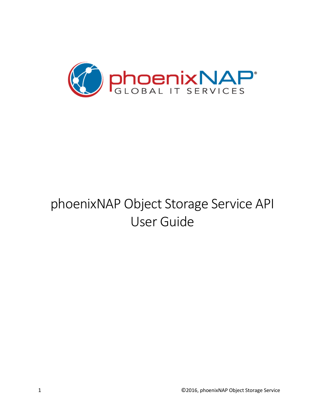

# phoenixNAP Object Storage Service API User Guide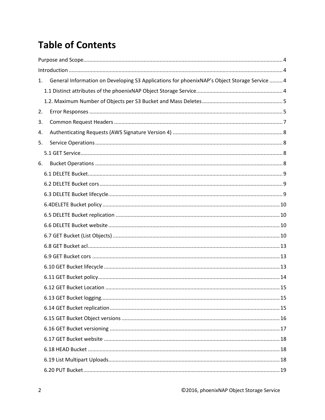## **Table of Contents**

| 1. | General Information on Developing S3 Applications for phoenixNAP's Object Storage Service  4 |  |
|----|----------------------------------------------------------------------------------------------|--|
|    |                                                                                              |  |
|    |                                                                                              |  |
| 2. |                                                                                              |  |
| 3. |                                                                                              |  |
| 4. |                                                                                              |  |
| 5. |                                                                                              |  |
|    |                                                                                              |  |
| 6. |                                                                                              |  |
|    |                                                                                              |  |
|    |                                                                                              |  |
|    |                                                                                              |  |
|    |                                                                                              |  |
|    |                                                                                              |  |
|    |                                                                                              |  |
|    |                                                                                              |  |
|    |                                                                                              |  |
|    |                                                                                              |  |
|    |                                                                                              |  |
|    |                                                                                              |  |
|    |                                                                                              |  |
|    |                                                                                              |  |
|    |                                                                                              |  |
|    |                                                                                              |  |
|    |                                                                                              |  |
|    |                                                                                              |  |
|    |                                                                                              |  |
|    |                                                                                              |  |
|    |                                                                                              |  |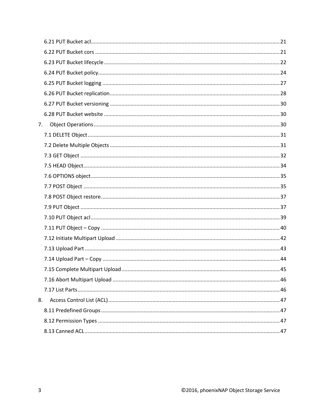<span id="page-2-0"></span>

| 7. |  |
|----|--|
|    |  |
|    |  |
|    |  |
|    |  |
|    |  |
|    |  |
|    |  |
|    |  |
|    |  |
|    |  |
|    |  |
|    |  |
|    |  |
|    |  |
|    |  |
|    |  |
| 8. |  |
|    |  |
|    |  |
|    |  |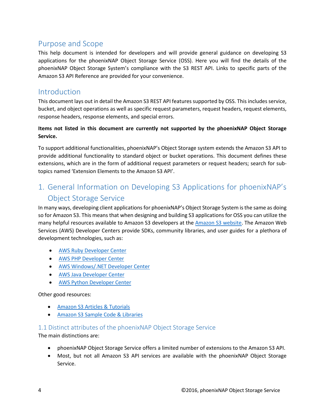## Purpose and Scope

This help document is intended for developers and will provide general guidance on developing S3 applications for the phoenixNAP Object Storage Service (OSS). Here you will find the details of the phoenixNAP Object Storage System's compliance with the S3 REST API. Links to specific parts of the Amazon S3 API Reference are provided for your convenience.

## <span id="page-3-0"></span>Introduction

This document lays out in detail the Amazon S3 REST API features supported by OSS. This includes service, bucket, and object operations as well as specific request parameters, request headers, request elements, response headers, response elements, and special errors.

#### **Items not listed in this document are currently not supported by the phoenixNAP Object Storage Service.**

To support additional functionalities, phoenixNAP's Object Storage system extends the Amazon S3 API to provide additional functionality to standard object or bucket operations. This document defines these extensions, which are in the form of additional request parameters or request headers; search for subtopics named 'Extension Elements to the Amazon S3 API'.

## <span id="page-3-1"></span>1. General Information on Developing S3 Applications for phoenixNAP's Object Storage Service

In many ways, developing client applications for phoenixNAP's Object Storage System is the same as doing so for Amazon S3. This means that when designing and building S3 applications for OSS you can utilize the many helpful resources available to Amazon S3 developers at th[e Amazon S3 website.](http://aws.amazon.com/s3/) The Amazon Web Services (AWS) Developer Centers provide SDKs, community libraries, and user guides for a plethora of development technologies, such as:

- [AWS Ruby Developer Center](http://aws.amazon.com/ruby/)
- [AWS PHP Developer Center](http://aws.amazon.com/php/)
- [AWS Windows/.NET Developer Center](http://aws.amazon.com/net/)
- [AWS Java Developer Center](http://aws.amazon.com/java/)
- [AWS Python Developer Center](http://aws.amazon.com/python/)

#### Other good resources:

- [Amazon S3 Articles & Tutorials](http://aws.amazon.com/search?searchQuery=amazon+s3&searchPath=articles&x=0&y=0#facet_oc_amzn_products=Amazon+S3&page=1)
- [Amazon S3 Sample Code & Libraries](http://aws.amazon.com/search?searchQuery=s3&searchPath=code&x=0&y=0#facet_oc_amzn_products=Amazon+S3&page=1)

#### <span id="page-3-2"></span>1.1 Distinct attributes of the phoenixNAP Object Storage Service

The main distinctions are:

- phoenixNAP Object Storage Service offers a limited number of extensions to the Amazon S3 API.
- Most, but not all Amazon S3 API services are available with the phoenixNAP Object Storage Service.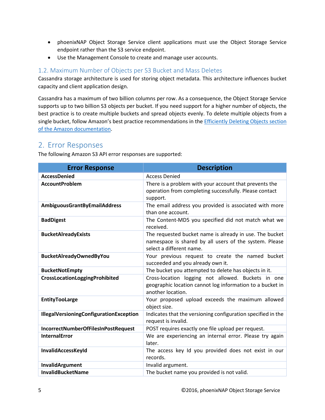- phoenixNAP Object Storage Service client applications must use the Object Storage Service endpoint rather than the S3 service endpoint.
- Use the Management Console to create and manage user accounts.

#### <span id="page-4-0"></span>1.2. Maximum Number of Objects per S3 Bucket and Mass Deletes

Cassandra storage architecture is used for storing object metadata. This architecture influences bucket capacity and client application design.

Cassandra has a maximum of two billion columns per row. As a consequence, the Object Storage Service supports up to two billion S3 objects per bucket. If you need support for a higher number of objects, the best practice is to create multiple buckets and spread objects evenly. To delete multiple objects from a single bucket, follow Amazon's best practice recommendations in the Efficiently Deleting Objects section [of the Amazon documentation.](https://docs.aws.amazon.com/AmazonS3/latest/dev/request-rate-perf-considerations.html)

### <span id="page-4-1"></span>2. Error Responses

The following Amazon S3 API error responses are supported:

| <b>Error Response</b>                          | <b>Description</b>                                                                                                                            |
|------------------------------------------------|-----------------------------------------------------------------------------------------------------------------------------------------------|
| <b>AccessDenied</b>                            | <b>Access Denied</b>                                                                                                                          |
| <b>AccountProblem</b>                          | There is a problem with your account that prevents the<br>operation from completing successfully. Please contact<br>support.                  |
| AmbiguousGrantByEmailAddress                   | The email address you provided is associated with more<br>than one account.                                                                   |
| <b>BadDigest</b>                               | The Content-MD5 you specified did not match what we<br>received.                                                                              |
| <b>BucketAlreadyExists</b>                     | The requested bucket name is already in use. The bucket<br>namespace is shared by all users of the system. Please<br>select a different name. |
| <b>BucketAlreadyOwnedByYou</b>                 | Your previous request to create the named bucket<br>succeeded and you already own it.                                                         |
| <b>BucketNotEmpty</b>                          | The bucket you attempted to delete has objects in it.                                                                                         |
| CrossLocationLoggingProhibited                 | Cross-location logging not allowed. Buckets in one<br>geographic location cannot log information to a bucket in<br>another location.          |
| <b>EntityTooLarge</b>                          | Your proposed upload exceeds the maximum allowed<br>object size.                                                                              |
| <b>IllegalVersioningConfigurationException</b> | Indicates that the versioning configuration specified in the<br>request is invalid.                                                           |
| IncorrectNumberOfFilesInPostRequest            | POST requires exactly one file upload per request.                                                                                            |
| <b>InternalError</b>                           | We are experiencing an internal error. Please try again<br>later.                                                                             |
| InvalidAccessKeyId                             | The access key Id you provided does not exist in our<br>records.                                                                              |
| InvalidArgument                                | Invalid argument.                                                                                                                             |
| <b>InvalidBucketName</b>                       | The bucket name you provided is not valid.                                                                                                    |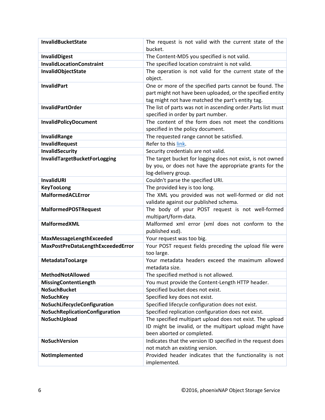| <b>InvalidBucketState</b>         | The request is not valid with the current state of the                                                                                                                     |
|-----------------------------------|----------------------------------------------------------------------------------------------------------------------------------------------------------------------------|
|                                   | bucket.                                                                                                                                                                    |
| <b>InvalidDigest</b>              | The Content-MD5 you specified is not valid.                                                                                                                                |
| <b>InvalidLocationConstraint</b>  | The specified location constraint is not valid.                                                                                                                            |
| InvalidObjectState                | The operation is not valid for the current state of the<br>object.                                                                                                         |
| <b>InvalidPart</b>                | One or more of the specified parts cannot be found. The<br>part might not have been uploaded, or the specified entity<br>tag might not have matched the part's entity tag. |
| <b>InvalidPartOrder</b>           | The list of parts was not in ascending order. Parts list must<br>specified in order by part number.                                                                        |
| <b>InvalidPolicyDocument</b>      | The content of the form does not meet the conditions<br>specified in the policy document.                                                                                  |
| InvalidRange                      | The requested range cannot be satisfied.                                                                                                                                   |
| InvalidRequest                    | Refer to this link.                                                                                                                                                        |
| <b>InvalidSecurity</b>            | Security credentials are not valid.                                                                                                                                        |
| InvalidTargetBucketForLogging     | The target bucket for logging does not exist, is not owned<br>by you, or does not have the appropriate grants for the<br>log-delivery group.                               |
| InvalidURI                        | Couldn't parse the specified URI.                                                                                                                                          |
| <b>KeyTooLong</b>                 | The provided key is too long.                                                                                                                                              |
| <b>MalformedACLError</b>          | The XML you provided was not well-formed or did not<br>validate against our published schema.                                                                              |
| <b>MalformedPOSTRequest</b>       | The body of your POST request is not well-formed<br>multipart/form-data.                                                                                                   |
| <b>MalformedXML</b>               | Malformed xml error (xml does not conform to the<br>published xsd).                                                                                                        |
| MaxMessageLengthExceeded          | Your request was too big.                                                                                                                                                  |
| MaxPostPreDataLengthExceededError | Your POST request fields preceding the upload file were<br>too large.                                                                                                      |
| MetadataTooLarge                  | Your metadata headers exceed the maximum allowed<br>metadata size.                                                                                                         |
| <b>MethodNotAllowed</b>           | The specified method is not allowed.                                                                                                                                       |
| MissingContentLength              | You must provide the Content-Length HTTP header.                                                                                                                           |
| <b>NoSuchBucket</b>               | Specified bucket does not exist.                                                                                                                                           |
| <b>NoSuchKey</b>                  | Specified key does not exist.                                                                                                                                              |
| NoSuchLifecycleConfiguration      | Specified lifecycle configuration does not exist.                                                                                                                          |
| NoSuchReplicationConfiguration    | Specified replication configuration does not exist.                                                                                                                        |
| NoSuchUpload                      | The specified multipart upload does not exist. The upload<br>ID might be invalid, or the multipart upload might have<br>been aborted or completed.                         |
| <b>NoSuchVersion</b>              | Indicates that the version ID specified in the request does<br>not match an existing version.                                                                              |
| NotImplemented                    | Provided header indicates that the functionality is not<br>implemented.                                                                                                    |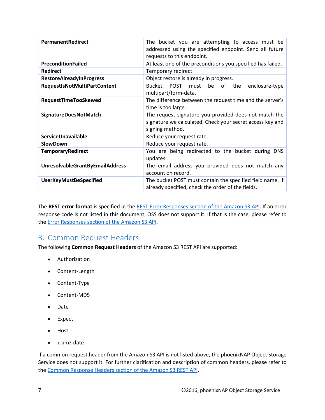| PermanentRedirect                      | The bucket you are attempting to access must be<br>addressed using the specified endpoint. Send all future<br>requests to this endpoint. |  |  |
|----------------------------------------|------------------------------------------------------------------------------------------------------------------------------------------|--|--|
| <b>PreconditionFailed</b>              | At least one of the preconditions you specified has failed.                                                                              |  |  |
| <b>Redirect</b>                        | Temporary redirect.                                                                                                                      |  |  |
| <b>RestoreAlreadyInProgress</b>        | Object restore is already in progress.                                                                                                   |  |  |
| RequestIsNotMultiPartContent           | Bucket POST must<br>be of the<br>enclosure-type<br>multipart/form-data.                                                                  |  |  |
| <b>RequestTimeTooSkewed</b>            | The difference between the request time and the server's<br>time is too large.                                                           |  |  |
| SignatureDoesNotMatch                  | The request signature you provided does not match the<br>signature we calculated. Check your secret access key and<br>signing method.    |  |  |
| ServiceUnavailable                     | Reduce your request rate.                                                                                                                |  |  |
| <b>SlowDown</b>                        | Reduce your request rate.                                                                                                                |  |  |
| <b>TemporaryRedirect</b>               | You are being redirected to the bucket during DNS<br>updates.                                                                            |  |  |
| <b>UnresolvableGrantByEmailAddress</b> | The email address you provided does not match any<br>account on record.                                                                  |  |  |
| <b>UserKeyMustBeSpecified</b>          | The bucket POST must contain the specified field name. If<br>already specified, check the order of the fields.                           |  |  |

The **REST error format** is specified in the [REST Error Responses section of the Amazon S3 API.](http://docs.aws.amazon.com/AmazonS3/latest/API/ErrorResponses.html#RESTErrorResponses) If an error response code is not listed in this document, OSS does not support it. If that is the case, please refer to the [Error Responses section of the Amazon S3 API.](http://docs.aws.amazon.com/AmazonS3/latest/API/ErrorResponses.html)

## <span id="page-6-0"></span>3. Common Request Headers

The following **Common Request Headers** of the Amazon S3 REST API are supported:

- Authorization
- Content-Length
- Content-Type
- Content-MD5
- Date
- Expect
- Host
- x-amz-date

If a common request header from the Amazon S3 API is not listed above, the phoenixNAP Object Storage Service does not support it. For further clarification and description of common headers, please refer to the Common Response Headers [section of the Amazon S3 REST API.](http://docs.aws.amazon.com/AmazonS3/latest/API/RESTCommonResponseHeaders.html)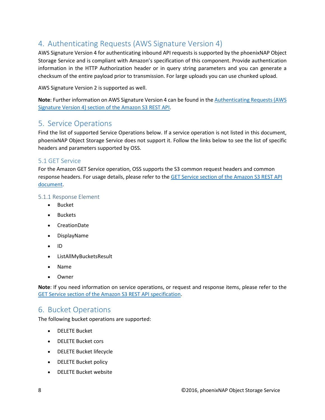## <span id="page-7-0"></span>4. Authenticating Requests (AWS Signature Version 4)

AWS Signature Version 4 for authenticating inbound API requests is supported by the phoenixNAP Object Storage Service and is compliant with Amazon's specification of this component. Provide authentication information in the HTTP Authorization header or in query string parameters and you can generate a checksum of the entire payload prior to transmission. For large uploads you can use chunked upload.

AWS Signature Version 2 is supported as well.

**Note**: Further information on AWS Signature Version 4 can be found in th[e Authenticating Requests \(AWS](http://docs.aws.amazon.com/AmazonS3/latest/API/sig-v4-authenticating-requests.html)  [Signature Version 4\) section of the Amazon S3 REST API.](http://docs.aws.amazon.com/AmazonS3/latest/API/sig-v4-authenticating-requests.html)

## <span id="page-7-1"></span>5. Service Operations

Find the list of supported Service Operations below. If a service operation is not listed in this document, phoenixNAP Object Storage Service does not support it. Follow the links below to see the list of specific headers and parameters supported by OSS.

#### <span id="page-7-2"></span>5.1 GET Service

For the Amazon GET Service operation, OSS supports the S3 common request headers and common response headers. For usage details, please refer to the GET Service [section of the Amazon S3 REST API](http://docs.aws.amazon.com/AmazonS3/latest/API/RESTServiceGET.html)  [document.](http://docs.aws.amazon.com/AmazonS3/latest/API/RESTServiceGET.html)

#### 5.1.1 Response Element

- Bucket
- Buckets
- CreationDate
- DisplayName
- ID
- ListAllMyBucketsResult
- Name
- **Owner**

**Note**: If you need information on service operations, or request and response items, please refer to the GET Service [section of the Amazon S3 REST API specification.](http://docs.aws.amazon.com/AmazonS3/latest/API/RESTServiceGET.html)

## <span id="page-7-3"></span>6. Bucket Operations

The following bucket operations are supported:

- DELETE Bucket
- DELETE Bucket cors
- DELETE Bucket lifecycle
- DELETE Bucket policy
- DELETE Bucket website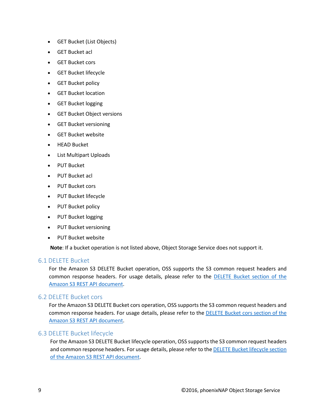- GET Bucket (List Objects)
- GET Bucket acl
- GET Bucket cors
- GET Bucket lifecycle
- GET Bucket policy
- GET Bucket location
- GET Bucket logging
- GET Bucket Object versions
- GET Bucket versioning
- GET Bucket website
- HEAD Bucket
- List Multipart Uploads
- PUT Bucket
- PUT Bucket acl
- PUT Bucket cors
- PUT Bucket lifecycle
- PUT Bucket policy
- PUT Bucket logging
- PUT Bucket versioning
- PUT Bucket website

**Note**: If a bucket operation is not listed above, Object Storage Service does not support it.

#### <span id="page-8-0"></span>6.1 DELETE Bucket

For the Amazon S3 DELETE Bucket operation, OSS supports the S3 common request headers and common response headers. For usage details, please refer to the [DELETE Bucket section](http://docs.aws.amazon.com/AmazonS3/latest/API/RESTBucketDELETE.html) of the [Amazon S3 REST API document.](http://docs.aws.amazon.com/AmazonS3/latest/API/RESTBucketDELETE.html)

#### <span id="page-8-1"></span>6.2 DELETE Bucket cors

For the Amazon S3 DELETE Bucket cors operation, OSS supports the S3 common request headers and common response headers. For usage details, please refer to th[e DELETE Bucket cors section of the](http://docs.aws.amazon.com/AmazonS3/latest/API/RESTBucketDELETEcors.html)  [Amazon S3 REST API document.](http://docs.aws.amazon.com/AmazonS3/latest/API/RESTBucketDELETEcors.html)

#### <span id="page-8-2"></span>6.3 DELETE Bucket lifecycle

For the Amazon S3 DELETE Bucket lifecycle operation, OSS supports the S3 common request headers and common response headers. For usage details, please refer to the DELETE Bucket lifecycle section [of the Amazon S3 REST API document.](http://docs.aws.amazon.com/AmazonS3/latest/API/RESTBucketDELETElifecycle.html)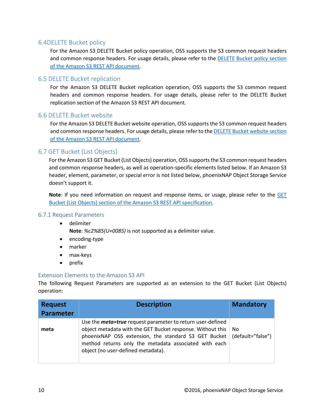#### <span id="page-9-0"></span>6.4DELETE Bucket policy

For the Amazon S3 DELETE Bucket policy operation, OSS supports the S3 common request headers and common response headers. For usage details, please refer to th[e DELETE Bucket policy section](http://docs.aws.amazon.com/AmazonS3/latest/API/RESTBucketDELETEpolicy.html)  [of the Amazon S3 REST API document.](http://docs.aws.amazon.com/AmazonS3/latest/API/RESTBucketDELETEpolicy.html)

#### <span id="page-9-1"></span>6.5 DELETE Bucket replication

For the Amazon S3 DELETE Bucket replication operation, OSS supports the S3 common request headers and common response headers. For usage details, please refer to the DELETE Bucket replication section of the Amazon S3 REST API document.

#### <span id="page-9-2"></span>6.6 DELETE Bucket website

For the Amazon S3 DELETE Bucket website operation, OSS supports the S3 common request headers and common response headers. For usage details, please refer to th[e DELETE Bucket website](http://docs.aws.amazon.com/AmazonS3/latest/API/RESTBucketDELETEwebsite.html) section [of the Amazon S3 REST API document.](http://docs.aws.amazon.com/AmazonS3/latest/API/RESTBucketDELETEwebsite.html)

#### <span id="page-9-3"></span>6.7 GET Bucket (List Objects)

For the Amazon S3 GET Bucket (List Objects) operation, OSS supports the S3 common request headers and common response headers, as well as operation-specific elements listed below. If an Amazon S3 header, element, parameter, or special error is not listed below, phoenixNAP Object Storage Service doesn't support it.

**Note**: If you need information on request and response items, or usage, please refer to the [GET](http://docs.aws.amazon.com/AmazonS3/latest/API/RESTBucketGET.html)  [Bucket \(List Objects\) section of the Amazon S3 REST API specification.](http://docs.aws.amazon.com/AmazonS3/latest/API/RESTBucketGET.html)

#### 6.7.1 Request Parameters

- delimiter **Note**: *%c2%85(U+0085)* is not supported as a delimiter value.
- encoding-type
- marker
- max-keys
- prefix

#### Extension Elements to the Amazon S3 API

The following Request Parameters are supported as an extension to the GET Bucket (List Objects) operation:

| <b>Request</b><br><b>Parameter</b> | <b>Description</b>                                                                                                                                                                                                                                                                     | <b>Mandatory</b>         |
|------------------------------------|----------------------------------------------------------------------------------------------------------------------------------------------------------------------------------------------------------------------------------------------------------------------------------------|--------------------------|
| meta                               | Use the <b>meta=true</b> request parameter to return user-defined<br>object metadata with the GET Bucket response. Without this<br>phoenixNAP OSS extension, the standard S3 GET Bucket<br>method returns only the metadata associated with each<br>object (no user-defined metadata). | No.<br>(default="false") |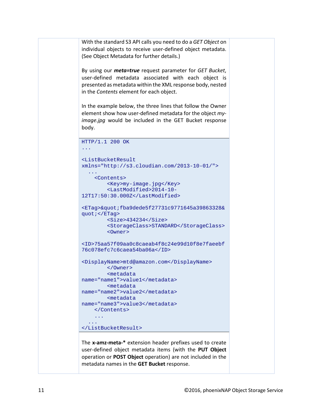```
With the standard S3 API calls you need to do a GET Object on 
individual objects to receive user-defined object metadata. 
(See Object Metadata for further details.)
By using our meta=true request parameter for GET Bucket, 
user-defined metadata associated with each object is 
presented as metadata within the XML response body, nested 
in the Contents element for each object. 
In the example below, the three lines that follow the Owner 
element show how user-defined metadata for the object my-
image.jpg would be included in the GET Bucket response 
body.
HTTP/1.1 200 OK
...
<ListBucketResult 
xmlns="http://s3.cloudian.com/2013-10-01/">
 ...
     <Contents>
         <Key>my-image.jpg</Key>
          <LastModified>2014-10-
12T17:50:30.000Z</LastModified>
<ETag>&quot;fba9dede5f27731c9771645a39863328&
quot;</ETag>
          <Size>434234</Size>
          <StorageClass>STANDARD</StorageClass>
          <Owner>
<ID>75aa57f09aa0c8caeab4f8c24e99d10f8e7faeebf
76c078efc7c6caea54ba06a</ID>
<DisplayName>mtd@amazon.com</DisplayName>
          </Owner>
          <metadata 
name="name1">value1</metadata>
         <metadata 
name="name2">value2</metadata>
         <metadata 
name="name3">value3</metadata>
     </Contents>
     ...
   ...
</ListBucketResult>
The x-amz-meta-* extension header prefixes used to create 
user-defined object metadata items (with the PUT Object
operation or POST Object operation) are not included in the
```
metadata names in the **GET Bucket** response.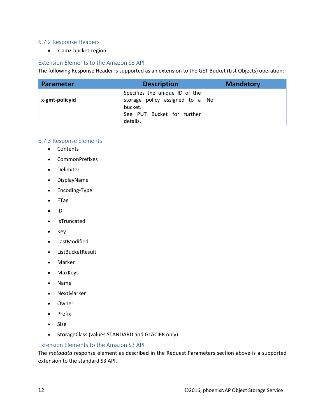#### 6.7.2 Response Headers

• x-amz-bucket-region

#### Extension Elements to the Amazon S3 API

The following Response Header is supported as an extension to the GET Bucket (List Objects) operation:

| <b>Parameter</b> | <b>Description</b>                                                                                                            | <b>Mandatory</b> |
|------------------|-------------------------------------------------------------------------------------------------------------------------------|------------------|
| x-gmt-policyid   | Specifies the unique ID of the<br>storage policy assigned to $a \mid No$<br>bucket.<br>See PUT Bucket for further<br>details. |                  |

#### 6.7.3 Response Elements

- Contents
- CommonPrefixes
- Delimiter
- DisplayName
- Encoding-Type
- ETag
- ID
- IsTruncated
- Key
- LastModified
- ListBucketResult
- Marker
- MaxKeys
- Name
- NextMarker
- Owner
- Prefix
- Size
- StorageClass (values STANDARD and GLACIER only)

#### Extension Elements to the Amazon S3 API

The *metadata* response element as described in the Request Parameters section above is a supported extension to the standard S3 API.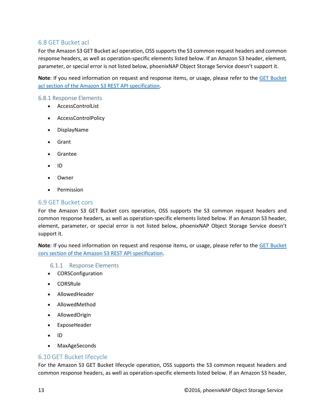#### <span id="page-12-0"></span>6.8 GET Bucket acl

For the Amazon S3 GET Bucket acl operation, OSS supports the S3 common request headers and common response headers, as well as operation-specific elements listed below. If an Amazon S3 header, element, parameter, or special error is not listed below, phoenixNAP Object Storage Service doesn't support it.

**Note**: If you need information on request and response items, or usage, please refer to the [GET Bucket](http://docs.aws.amazon.com/AmazonS3/latest/API/RESTBucketGETacl.html)  acl section [of the Amazon S3 REST API specification.](http://docs.aws.amazon.com/AmazonS3/latest/API/RESTBucketGETacl.html)

#### 6.8.1 Response Elements

- AccessControlList
- AccessControlPolicy
- DisplayName
- Grant
- Grantee
- ID
- Owner
- Permission

#### <span id="page-12-1"></span>6.9 GET Bucket cors

For the Amazon S3 GET Bucket cors operation, OSS supports the S3 common request headers and common response headers, as well as operation-specific elements listed below. If an Amazon S3 header, element, parameter, or special error is not listed below, phoenixNAP Object Storage Service doesn't support it.

**Note**: If you need information on request and response items, or usage, please refer to the [GET Bucket](http://docs.aws.amazon.com/AmazonS3/latest/API/RESTBucketGETcors.html)  [cors section of the Amazon S3 REST API specification.](http://docs.aws.amazon.com/AmazonS3/latest/API/RESTBucketGETcors.html)

#### 6.1.1 Response Elements

- CORSConfiguration
- CORSRule
- AllowedHeader
- AllowedMethod
- AllowedOrigin
- ExposeHeader
- ID
- MaxAgeSeconds

#### <span id="page-12-2"></span>6.10 GET Bucket lifecycle

For the Amazon S3 GET Bucket lifecycle operation, OSS supports the S3 common request headers and common response headers, as well as operation-specific elements listed below. If an Amazon S3 header,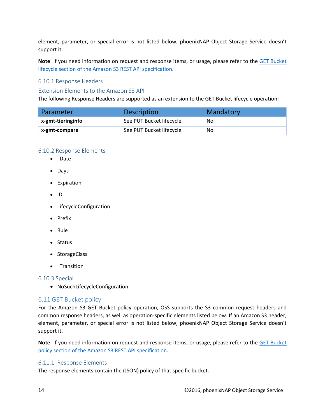element, parameter, or special error is not listed below, phoenixNAP Object Storage Service doesn't support it.

**Note**: If you need information on request and response items, or usage, please refer to the [GET Bucket](http://docs.aws.amazon.com/AmazonS3/latest/API/RESTBucketGETlifecycle.html)  [lifecycle section of the Amazon S3 REST API specification.](http://docs.aws.amazon.com/AmazonS3/latest/API/RESTBucketGETlifecycle.html)

#### 6.10.1 Response Headers

#### Extension Elements to the Amazon S3 API

The following Response Headers are supported as an extension to the GET Bucket lifecycle operation:

| Parameter         | <b>Description</b>       | Mandatory |
|-------------------|--------------------------|-----------|
| x-gmt-tieringinfo | See PUT Bucket lifecycle | No.       |
| x-gmt-compare     | See PUT Bucket lifecycle | No.       |

#### 6.10.2 Response Elements

- Date
- Days
- Expiration
- ID
- LifecycleConfiguration
- Prefix
- Rule
- Status
- StorageClass
- Transition

#### 6.10.3 Special

• NoSuchLifecycleConfiguration

#### <span id="page-13-0"></span>6.11 GET Bucket policy

For the Amazon S3 GET Bucket policy operation, OSS supports the S3 common request headers and common response headers, as well as operation-specific elements listed below. If an Amazon S3 header, element, parameter, or special error is not listed below, phoenixNAP Object Storage Service doesn't support it.

**Note**: If you need information on request and response items, or usage, please refer to the [GET Bucket](http://docs.aws.amazon.com/AmazonS3/latest/API/RESTBucketGETpolicy.html)  [policy section of the Amazon S3 REST API specification.](http://docs.aws.amazon.com/AmazonS3/latest/API/RESTBucketGETpolicy.html)

#### 6.11.1 Response Elements

The response elements contain the (JSON) policy of that specific bucket.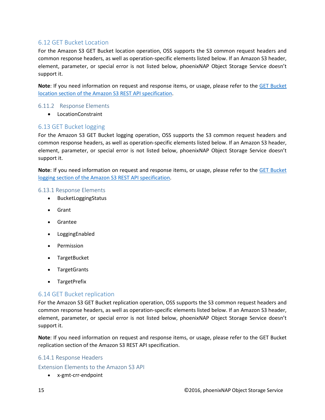#### <span id="page-14-0"></span>6.12 GET Bucket Location

For the Amazon S3 GET Bucket location operation, OSS supports the S3 common request headers and common response headers, as well as operation-specific elements listed below. If an Amazon S3 header, element, parameter, or special error is not listed below, phoenixNAP Object Storage Service doesn't support it.

**Note**: If you need information on request and response items, or usage, please refer to the [GET Bucket](http://docs.aws.amazon.com/AmazonS3/latest/API/RESTBucketGETlocation.html)  [location section of the Amazon S3 REST API specification.](http://docs.aws.amazon.com/AmazonS3/latest/API/RESTBucketGETlocation.html)

#### 6.11.2 Response Elements

• LocationConstraint

#### <span id="page-14-1"></span>6.13 GET Bucket logging

For the Amazon S3 GET Bucket logging operation, OSS supports the S3 common request headers and common response headers, as well as operation-specific elements listed below. If an Amazon S3 header, element, parameter, or special error is not listed below, phoenixNAP Object Storage Service doesn't support it.

**Note**: If you need information on request and response items, or usage, please refer to the [GET Bucket](http://docs.aws.amazon.com/AmazonS3/latest/API/RESTBucketGETlogging.html)  [logging section of the Amazon S3 REST API specification.](http://docs.aws.amazon.com/AmazonS3/latest/API/RESTBucketGETlogging.html)

#### 6.13.1 Response Elements

- BucketLoggingStatus
- Grant
- Grantee
- LoggingEnabled
- Permission
- TargetBucket
- TargetGrants
- TargetPrefix

#### <span id="page-14-2"></span>6.14 GET Bucket replication

For the Amazon S3 GET Bucket replication operation, OSS supports the S3 common request headers and common response headers, as well as operation-specific elements listed below. If an Amazon S3 header, element, parameter, or special error is not listed below, phoenixNAP Object Storage Service doesn't support it.

**Note**: If you need information on request and response items, or usage, please refer to the GET Bucket replication section of the Amazon S3 REST API specification.

#### 6.14.1 Response Headers

Extension Elements to the Amazon S3 API

• x-gmt-crr-endpoint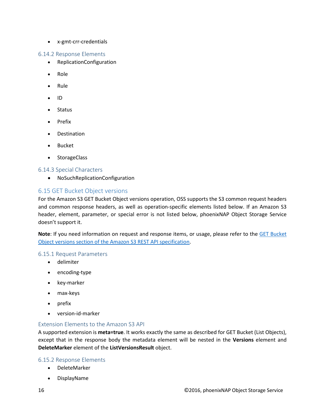• x-gmt-crr-credentials

#### 6.14.2 Response Elements

- ReplicationConfiguration
- Role
- Rule
- ID
- Status
- Prefix
- Destination
- Bucket
- StorageClass

#### 6.14.3 Special Characters

• NoSuchReplicationConfiguration

#### <span id="page-15-0"></span>6.15 GET Bucket Object versions

For the Amazon S3 GET Bucket Object versions operation, OSS supports the S3 common request headers and common response headers, as well as operation-specific elements listed below. If an Amazon S3 header, element, parameter, or special error is not listed below, phoenixNAP Object Storage Service doesn't support it.

**Note**: If you need information on request and response items, or usage, please refer to the [GET Bucket](http://docs.aws.amazon.com/AmazonS3/latest/API/RESTBucketGETVersion.html)  [Object versions section of the Amazon S3 REST API specification.](http://docs.aws.amazon.com/AmazonS3/latest/API/RESTBucketGETVersion.html)

#### 6.15.1 Request Parameters

- delimiter
- encoding-type
- key-marker
- max-keys
- prefix
- version-id-marker

#### Extension Elements to the Amazon S3 API

A supported extension is **meta=true**. It works exactly the same as described for GET Bucket (List Objects), except that in the response body the metadata element will be nested in the **Versions** element and **DeleteMarker** element of the **ListVersionsResult** object.

#### 6.15.2 Response Elements

- DeleteMarker
- DisplayName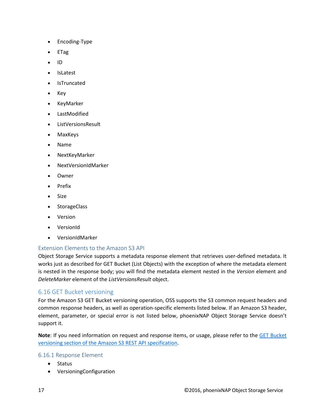- Encoding-Type
- ETag
- ID
- IsLatest
- IsTruncated
- Key
- KeyMarker
- LastModified
- ListVersionsResult
- MaxKeys
- Name
- NextKeyMarker
- NextVersionIdMarker
- Owner
- Prefix
- Size
- StorageClass
- Version
- VersionId
- VersionIdMarker

#### Extension Elements to the Amazon S3 API

Object Storage Service supports a metadata response element that retrieves user-defined metadata. It works just as described for GET Bucket (List Objects) with the exception of where the metadata element is nested in the response body; you will find the metadata element nested in the *Version* element and *DeleteMarker* element of the *ListVersionsResult* object.

#### <span id="page-16-0"></span>6.16 GET Bucket versioning

For the Amazon S3 GET Bucket versioning operation, OSS supports the S3 common request headers and common response headers, as well as operation-specific elements listed below. If an Amazon S3 header, element, parameter, or special error is not listed below, phoenixNAP Object Storage Service doesn't support it.

**Note**: If you need information on request and response items, or usage, please refer to the [GET Bucket](http://docs.aws.amazon.com/AmazonS3/latest/API/RESTBucketGETversioningStatus.html)  [versioning section of the Amazon S3 REST API specification.](http://docs.aws.amazon.com/AmazonS3/latest/API/RESTBucketGETversioningStatus.html)

#### 6.16.1 Response Element

- Status
- VersioningConfiguration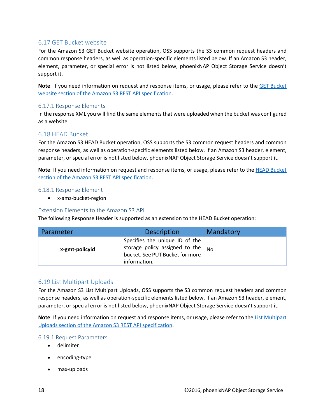#### <span id="page-17-0"></span>6.17 GET Bucket website

For the Amazon S3 GET Bucket website operation, OSS supports the S3 common request headers and common response headers, as well as operation-specific elements listed below. If an Amazon S3 header, element, parameter, or special error is not listed below, phoenixNAP Object Storage Service doesn't support it.

**Note**: If you need information on request and response items, or usage, please refer to the [GET Bucket](http://docs.aws.amazon.com/AmazonS3/latest/API/RESTBucketGETwebsite.html)  [website section of the Amazon S3 REST API specification.](http://docs.aws.amazon.com/AmazonS3/latest/API/RESTBucketGETwebsite.html)

#### 6.17.1 Response Elements

In the response XML you will find the same elements that were uploaded when the bucket was configured as a website.

#### <span id="page-17-1"></span>6.18 HEAD Bucket

For the Amazon S3 HEAD Bucket operation, OSS supports the S3 common request headers and common response headers, as well as operation-specific elements listed below. If an Amazon S3 header, element, parameter, or special error is not listed below, phoenixNAP Object Storage Service doesn't support it.

**Note**: If you need information on request and response items, or usage, please refer to th[e HEAD Bucket](http://docs.aws.amazon.com/AmazonS3/latest/API/RESTBucketHEAD.html)  [section of the Amazon S3 REST API specification.](http://docs.aws.amazon.com/AmazonS3/latest/API/RESTBucketHEAD.html)

#### 6.18.1 Response Element

• x-amz-bucket-region

#### Extension Elements to the Amazon S3 API

The following Response Header is supported as an extension to the HEAD Bucket operation:

| Parameter      | <b>Description</b>                                                                                                                 | Mandatory |
|----------------|------------------------------------------------------------------------------------------------------------------------------------|-----------|
| x-gmt-policyid | Specifies the unique ID of the<br>storage policy assigned to the $_{\text{No}}$<br>bucket. See PUT Bucket for more<br>information. |           |

#### <span id="page-17-2"></span>6.19 List Multipart Uploads

For the Amazon S3 List Multipart Uploads, OSS supports the S3 common request headers and common response headers, as well as operation-specific elements listed below. If an Amazon S3 header, element, parameter, or special error is not listed below, phoenixNAP Object Storage Service doesn't support it.

**Note**: If you need information on request and response items, or usage, please refer to the [List Multipart](http://docs.aws.amazon.com/AmazonS3/latest/API/mpUploadListMPUpload.html)  [Uploads section of the Amazon S3 REST API specification.](http://docs.aws.amazon.com/AmazonS3/latest/API/mpUploadListMPUpload.html)

#### 6.19.1 Request Parameters

- delimiter
- encoding-type
- max-uploads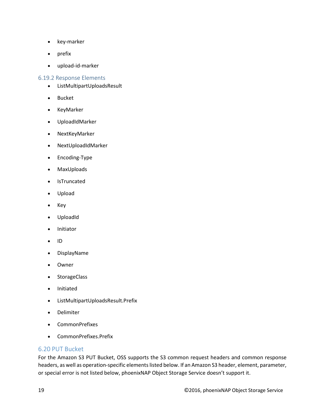- key-marker
- prefix
- upload-id-marker

#### 6.19.2 Response Elements

- ListMultipartUploadsResult
- Bucket
- KeyMarker
- UploadIdMarker
- NextKeyMarker
- NextUploadIdMarker
- Encoding-Type
- MaxUploads
- IsTruncated
- Upload
- Key
- UploadId
- Initiator
- ID
- DisplayName
- **Owner**
- **StorageClass**
- Initiated
- ListMultipartUploadsResult.Prefix
- Delimiter
- CommonPrefixes
- CommonPrefixes.Prefix

#### <span id="page-18-0"></span>6.20 PUT Bucket

For the Amazon S3 PUT Bucket, OSS supports the S3 common request headers and common response headers, as well as operation-specific elements listed below. If an Amazon S3 header, element, parameter, or special error is not listed below, phoenixNAP Object Storage Service doesn't support it.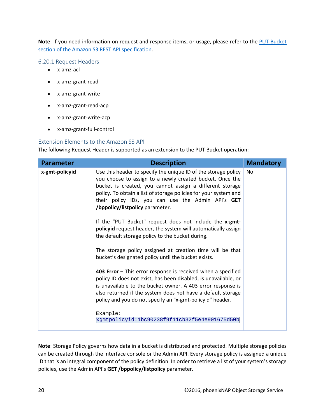**Note**: If you need information on request and response items, or usage, please refer to the [PUT Bucket](http://docs.aws.amazon.com/AmazonS3/latest/API/RESTBucketPUT.html)  [section of the Amazon S3 REST API specification.](http://docs.aws.amazon.com/AmazonS3/latest/API/RESTBucketPUT.html)

6.20.1 Request Headers

- x-amz-acl
- x-amz-grant-read
- x-amz-grant-write
- x-amz-grant-read-acp
- x-amz-grant-write-acp
- x-amz-grant-full-control

#### Extension Elements to the Amazon S3 API

The following Request Header is supported as an extension to the PUT Bucket operation:

| <b>Parameter</b> | <b>Description</b>                                                                                                                                                                                                                                                                                                                                 | <b>Mandatory</b> |
|------------------|----------------------------------------------------------------------------------------------------------------------------------------------------------------------------------------------------------------------------------------------------------------------------------------------------------------------------------------------------|------------------|
| x-gmt-policyid   | Use this header to specify the unique ID of the storage policy<br>you choose to assign to a newly created bucket. Once the<br>bucket is created, you cannot assign a different storage<br>policy. To obtain a list of storage policies for your system and<br>their policy IDs, you can use the Admin API's GET<br>/bppolicy/listpolicy parameter. | N <sub>0</sub>   |
|                  | If the "PUT Bucket" request does not include the x-gmt-<br>policyid request header, the system will automatically assign<br>the default storage policy to the bucket during.                                                                                                                                                                       |                  |
|                  | The storage policy assigned at creation time will be that<br>bucket's designated policy until the bucket exists.                                                                                                                                                                                                                                   |                  |
|                  | 403 Error - This error response is received when a specified<br>policy ID does not exist, has been disabled, is unavailable, or<br>is unavailable to the bucket owner. A 403 error response is<br>also returned if the system does not have a default storage<br>policy and you do not specify an "x-gmt-policyid" header.                         |                  |
|                  | Example:<br>xgmtpolicyid:1bc90238f9f11cb32f5e4e901675d50b                                                                                                                                                                                                                                                                                          |                  |

**Note**: Storage Policy governs how data in a bucket is distributed and protected. Multiple storage policies can be created through the interface console or the Admin API. Every storage policy is assigned a unique ID that is an integral component of the policy definition. In order to retrieve a list of your system's storage policies, use the Admin API's **GET /bppolicy/listpolicy** parameter.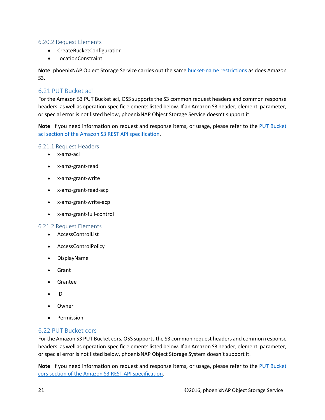#### 6.20.2 Request Elements

- CreateBucketConfiguration
- LocationConstraint

**Note**: phoenixNAP Object Storage Service carries out the sam[e bucket-name](http://docs.aws.amazon.com/AmazonS3/latest/dev/BucketRestrictions.html) restrictions as does Amazon S3.

#### <span id="page-20-0"></span>6.21 PUT Bucket acl

For the Amazon S3 PUT Bucket acl, OSS supports the S3 common request headers and common response headers, as well as operation-specific elements listed below. If an Amazon S3 header, element, parameter, or special error is not listed below, phoenixNAP Object Storage Service doesn't support it.

**Note**: If you need information on request and response items, or usage, please refer to the [PUT Bucket](http://docs.aws.amazon.com/AmazonS3/latest/API/RESTBucketPUTacl.html)  [acl section of the Amazon S3 REST API specification.](http://docs.aws.amazon.com/AmazonS3/latest/API/RESTBucketPUTacl.html)

#### 6.21.1 Request Headers

- x-amz-acl
- x-amz-grant-read
- x-amz-grant-write
- x-amz-grant-read-acp
- x-amz-grant-write-acp
- x-amz-grant-full-control

#### 6.21.2 Request Elements

- AccessControlList
- AccessControlPolicy
- DisplayName
- Grant
- Grantee
- ID
- Owner
- Permission

#### <span id="page-20-1"></span>6.22 PUT Bucket cors

For the Amazon S3 PUT Bucket cors, OSS supports the S3 common request headers and common response headers, as well as operation-specific elements listed below. If an Amazon S3 header, element, parameter, or special error is not listed below, phoenixNAP Object Storage System doesn't support it.

**Note**: If you need information on request and response items, or usage, please refer to the [PUT Bucket](http://docs.aws.amazon.com/AmazonS3/latest/API/RESTBucketPUTcors.html)  [cors section of the Amazon S3 REST API specification.](http://docs.aws.amazon.com/AmazonS3/latest/API/RESTBucketPUTcors.html)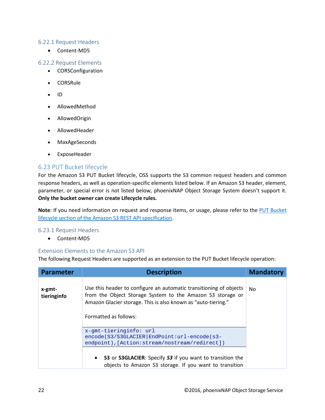#### 6.22.1 Request Headers

• Content-MD5

#### 6.22.2 Request Elements

- CORSConfiguration
- CORSRule
- ID
- AllowedMethod
- AllowedOrigin
- AllowedHeader
- MaxAgeSeconds
- ExposeHeader

#### <span id="page-21-0"></span>6.23 PUT Bucket lifecycle

For the Amazon S3 PUT Bucket lifecycle, OSS supports the S3 common request headers and common response headers, as well as operation-specific elements listed below. If an Amazon S3 header, element, parameter, or special error is not listed below, phoenixNAP Object Storage System doesn't support it. **Only the bucket owner can create Lifecycle rules.**

**Note**: If you need information on request and response items, or usage, please refer to the [PUT Bucket](http://docs.aws.amazon.com/AmazonS3/latest/API/RESTBucketPUTlifecycle.html)  lifecycle [section of the Amazon S3 REST API specification.](http://docs.aws.amazon.com/AmazonS3/latest/API/RESTBucketPUTlifecycle.html)

#### 6.23.1 Request Headers

• Content-MD5

#### Extension Elements to the Amazon S3 API

The following Request Headers are supported as an extension to the PUT Bucket lifecycle operation:

| <b>Parameter</b>      | <b>Description</b>                                                                                                                                                                                                         | <b>Mandatory</b> |
|-----------------------|----------------------------------------------------------------------------------------------------------------------------------------------------------------------------------------------------------------------------|------------------|
| x-gmt-<br>tieringinfo | Use this header to configure an automatic transitioning of objects<br>from the Object Storage System to the Amazon S3 storage or<br>Amazon Glacier storage. This is also known as "auto-tiering."<br>Formatted as follows: |                  |
|                       | x-gmt-tieringinfo: url<br>encode(S3/S3GLACIER EndPoint:url-encode(s3-<br>endpoint), [Action: stream/nostream/redirect])                                                                                                    |                  |
|                       | • S3 or S3GLACIER: Specify S3 if you want to transition the<br>objects to Amazon S3 storage. If you want to transition                                                                                                     |                  |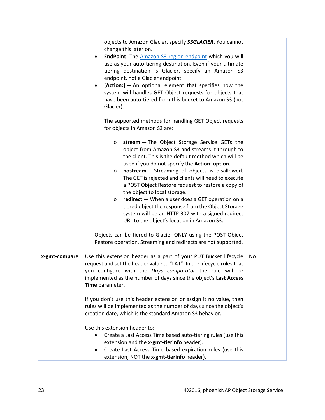|               | objects to Amazon Glacier, specify S3GLACIER. You cannot<br>change this later on.<br>EndPoint: The Amazon S3 region endpoint which you will<br>use as your auto-tiering destination. Even if your ultimate<br>tiering destination is Glacier, specify an Amazon S3<br>endpoint, not a Glacier endpoint.<br>$[Action:] - An optional element that specifies how the$<br>system will handles GET Object requests for objects that<br>have been auto-tiered from this bucket to Amazon S3 (not<br>Glacier).                                                                                                                                                                                                                                                                                |           |
|---------------|-----------------------------------------------------------------------------------------------------------------------------------------------------------------------------------------------------------------------------------------------------------------------------------------------------------------------------------------------------------------------------------------------------------------------------------------------------------------------------------------------------------------------------------------------------------------------------------------------------------------------------------------------------------------------------------------------------------------------------------------------------------------------------------------|-----------|
|               | The supported methods for handling GET Object requests<br>for objects in Amazon S3 are:                                                                                                                                                                                                                                                                                                                                                                                                                                                                                                                                                                                                                                                                                                 |           |
|               | stream - The Object Storage Service GETs the<br>$\circ$<br>object from Amazon S3 and streams it through to<br>the client. This is the default method which will be<br>used if you do not specify the Action: option.<br>nostream - Streaming of objects is disallowed.<br>$\circ$<br>The GET is rejected and clients will need to execute<br>a POST Object Restore request to restore a copy of<br>the object to local storage.<br>redirect - When a user does a GET operation on a<br>$\circ$<br>tiered object the response from the Object Storage<br>system will be an HTTP 307 with a signed redirect<br>URL to the object's location in Amazon S3.<br>Objects can be tiered to Glacier ONLY using the POST Object<br>Restore operation. Streaming and redirects are not supported. |           |
| x-gmt-compare | Use this extension header as a part of your PUT Bucket lifecycle<br>request and set the header value to "LAT". In the lifecycle rules that<br>you configure with the Days comparator the rule will be<br>implemented as the number of days since the object's Last Access<br>Time parameter.<br>If you don't use this header extension or assign it no value, then<br>rules will be implemented as the number of days since the object's<br>creation date, which is the standard Amazon S3 behavior.                                                                                                                                                                                                                                                                                    | <b>No</b> |
|               | Use this extension header to:<br>Create a Last Access Time based auto-tiering rules (use this<br>extension and the x-gmt-tierinfo header).<br>Create Last Access Time based expiration rules (use this<br>$\bullet$<br>extension, NOT the x-gmt-tierinfo header).                                                                                                                                                                                                                                                                                                                                                                                                                                                                                                                       |           |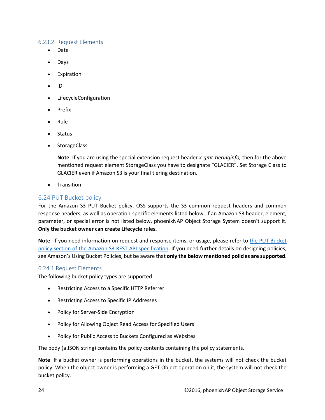#### 6.23.2. Request Elements

- Date
- Days
- **Expiration**
- ID
- LifecycleConfiguration
- Prefix
- Rule
- Status
- StorageClass

**Note**: If you are using the special extension request header *x-gmt-tieringinfo,* then for the above mentioned request element StorageClass you have to designate "GLACIER". Set Storage Class to GLACIER even if Amazon S3 is your final tiering destination.

• Transition

#### <span id="page-23-0"></span>6.24 PUT Bucket policy

For the Amazon S3 PUT Bucket policy, OSS supports the S3 common request headers and common response headers, as well as operation-specific elements listed below. If an Amazon S3 header, element, parameter, or special error is not listed below, phoenixNAP Object Storage System doesn't support it. **Only the bucket owner can create Lifecycle rules.**

**Note**: If you need information on request and response items, or usage, please refer to the PUT Bucket policy [section of the Amazon S3 REST API specification.](http://docs.aws.amazon.com/AmazonS3/latest/API/RESTBucketPUTpolicy.html) If you need further details on designing policies, see Amazon's Using Bucket Policies, but be aware that **only the below mentioned policies are supported**.

#### 6.24.1 Request Elements

The following bucket policy types are supported:

- Restricting Access to a Specific HTTP Referrer
- Restricting Access to Specific IP Addresses
- Policy for Server-Side Encryption
- Policy for Allowing Object Read Access for Specified Users
- Policy for Public Access to Buckets Configured as Websites

The body (a JSON string) contains the policy contents containing the policy statements.

**Note**: If a bucket owner is performing operations in the bucket, the systems will not check the bucket policy. When the object owner is performing a GET Object operation on it, the system will not check the bucket policy.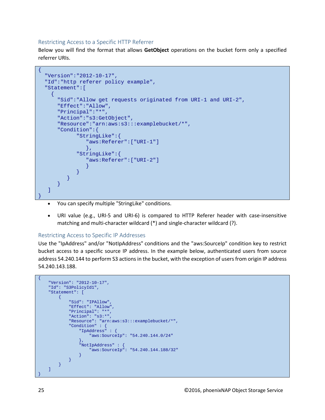#### Restricting Access to a Specific HTTP Referrer

Below you will find the format that allows **GetObject** operations on the bucket form only a specified referrer URIs.

```
\{ "Version":"2012-10-17",
   "Id":"http referer policy example",
   "Statement":[
    \{ "Sid":"Allow get requests originated from URI-1 and URI-2",
       "Effect":"Allow",
       "Principal":"*",
       "Action":"s3:GetObject",
       "Resource":"arn:aws:s3:::examplebucket/*",
       "Condition":{
              "StringLike":{
                 "aws:Referer":["URI-1"]
, where \{x_i\}_{i=1}^N and \{x_i\}_{i=1}^N "StringLike":{
                 "aws:Referer":["URI-2"]
 }
}}<br>}
}<br>}
       }
    ]
}
```
- You can specify multiple "StringLike" conditions.
- URI value (e.g., URI-5 and URI-6) is compared to HTTP Referer header with case-insensitive matching and multi-character wildcard (\*) and single-character wildcard (?).

#### Restricting Access to Specific IP Addresses

Use the "IpAddress" and/or "NotIpAddress" conditions and the "aws:SourceIp" condition key to restrict bucket access to a specific source IP address. In the example below, authenticated users from source address 54.240.144 to perform S3 actions in the bucket, with the exception of users from origin IP address 54.240.143.188.

```
\{ "Version": "2012-10-17",
    "Id": "S3PolicyId1",
    "Statement": [
       \left\{ \right. "Sid": "IPAllow",
            "Effect": "Allow",
            "Principal": "*",
             "Action": "s3:*",
             "Resource": "arn:aws:s3:::examplebucket/*",
            "Condition" : {
                "IpAddress" : {
                "aws:SourceIp": "54.240.144.0/24"
 },
                 "NotIpAddress" : {
                 "aws:SourceIp": "54.240.144.188/32"
 }
           }
       }
   \lceil}
```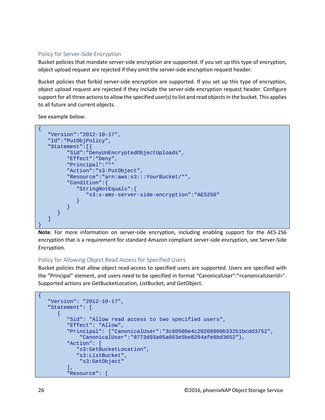#### Policy for Server-Side Encryption

Bucket policies that mandate server-side encryption are supported. If you set up this type of encryption, object upload request are rejected if they omit the server-side encryption request header.

Bucket policies that forbid server-side encryption are supported. If you set up this type of encryption, object upload request are rejected if they include the server-side encryption request header. Configure support for all three actions to allow the specified user(s) to list and read objects in the bucket. This applies to all future and current objects.

See example below:

```
\{ "Version":"2012-10-17",
    "Id":"PutObjPolicy",
    "Statement":[{
          "Sid":"DenyUnEncryptedObjectUploads",
          "Effect":"Deny",
          "Principal":"*"
          "Action":"s3:PutObject",
          "Resource":"arn:aws:s3:::YourBucket/*",
          "Condition":{
             "StringNotEquals":{
             "s3:x-amz-server-side-encryption":"AES256"
}}<br>}
}<br>}
       }
   ]
}
```
**Note**: For more information on server-side encryption, including enabling support for the AES-256 encryption that is a requirement for standard Amazon compliant server-side encryption, see Server-Side Encryption.

#### Policy for Allowing Object Read Access for Specified Users

Bucket policies that allow object read-access to specified users are supported. Users are specified with the "Principal" element, and users need to be specified in format "CanonicalUser":"<canonicalUserId>". Supported actions are GetBucketLocation, ListBucket, and GetObject.

```
\{ "Version": "2012-10-17",
    "Statement": [
      \{ "Sid": "Allow read access to two specified users",
          "Effect": "Allow",
          "Principal": {"CanonicalUser":"3c60500e4c20208909b332b1bcdd3752",
              "CanonicalUser":"8773d93a05a663e5be8294afe8bd3652"},
          "Action": [
             "s3:GetBucketLocation",
             "s3:ListBucket",
              "s3:GetObject"
          ],
          "Resource": [
```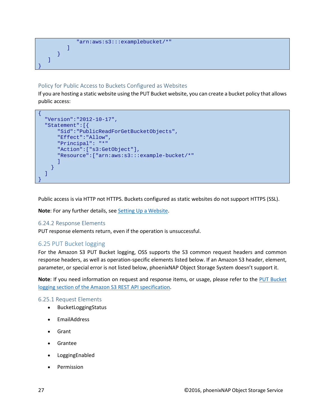```
 "arn:aws:s3:::examplebucket/*"
 ]
      }
   ]
```
#### Policy for Public Access to Buckets Configured as Websites

If you are hosting a static website using the PUT Bucket website, you can create a bucket policy that allows public access:

```
\{ "Version":"2012-10-17",
   "Statement":[{
       "Sid":"PublicReadForGetBucketObjects",
       "Effect":"Allow",
       "Principal": "*"
       "Action":["s3:GetObject"],
       "Resource":["arn:aws:s3:::example-bucket/*"
\sim \sim \sim \sim \sim }
   ]
}
```
Public access is via HTTP not HTTPS. Buckets configured as static websites do not support HTTPS (SSL).

**Note**: For any further details, se[e Setting Up a Website.](http://docs.aws.amazon.com/AmazonS3/latest/dev/HostingWebsiteOnS3Setup.html)

#### 6.24.2 Response Elements

}

PUT response elements return, even if the operation is unsuccessful.

#### <span id="page-26-0"></span>6.25 PUT Bucket logging

For the Amazon S3 PUT Bucket logging, OSS supports the S3 common request headers and common response headers, as well as operation-specific elements listed below. If an Amazon S3 header, element, parameter, or special error is not listed below, phoenixNAP Object Storage System doesn't support it.

**Note**: If you need information on request and response items, or usage, please refer to the [PUT Bucket](http://docs.aws.amazon.com/AmazonS3/latest/API/RESTBucketPUTlogging.html) logging [section of the Amazon S3 REST API specification.](http://docs.aws.amazon.com/AmazonS3/latest/API/RESTBucketPUTlogging.html)

#### 6.25.1 Request Elements

- BucketLoggingStatus
- EmailAddress
- Grant
- Grantee
- LoggingEnabled
- **Permission**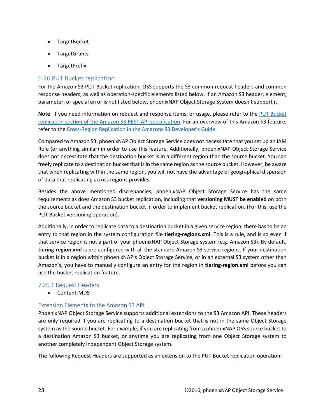- TargetBucket
- TargetGrants
- TargetPrefix

#### <span id="page-27-0"></span>6.26 PUT Bucket replication

For the Amazon S3 PUT Bucket replication, OSS supports the S3 common request headers and common response headers, as well as operation-specific elements listed below. If an Amazon S3 header, element, parameter, or special error is not listed below, phoenixNAP Object Storage System doesn't support it.

**Note**: If you need information on request and response items, or usage, please refer to the [PUT Bucket](http://docs.aws.amazon.com/AmazonS3/latest/API/RESTBucketPUTreplication.html) replication [section of the Amazon S3 REST API specification.](http://docs.aws.amazon.com/AmazonS3/latest/API/RESTBucketPUTreplication.html) For an overview of this Amazon S3 feature, refer to the [Cross-Region Replication in the Amazons S3 Developer's Guide.](http://docs.aws.amazon.com/AmazonS3/latest/dev/crr.html)

Compared to Amazon S3, phoenixNAP Object Storage Service does not necessitate that you set up an IAM Role (or anything similar) in order to use this feature. Additionally, phoenixNAP Object Storage Service does not necessitate that the destination bucket is in a different region than the source bucket. You can freely replicate to a destination bucket that is in the same region as the source bucket. However, be aware that when replicating within the same region, you will not have the advantage of geographical dispersion of data that replicating across regions provides.

Besides the above mentioned discrepancies, phoenixNAP Object Storage Service has the same requirements as does Amazon S3 bucket replication, including that **versioning MUST be enabled** on both the source bucket and the destination bucket in order to implement bucket replication. (For this, use the PUT Bucket versioning operation).

Additionally, in order to replicate data to a destination bucket in a given service region, there has to be an entry to that region in the system configuration file **tiering-regions.xml**. This is a rule, and is so even if that service region is not a part of your phoenixNAP Object Storage system (e.g. Amazon S3). By default, **tiering-region.xml** is pre-configured with all the standard Amazon S3 service regions. If your destination bucket is in a region within phoenixNAP's Object Storage Service, or in an external S3 system other than Amazon's, you have to manually configure an entry for the region in **tiering-region.xml** before you can use the bucket replication feature.

#### 7.26.1 Request Headers

• Content-MD5

#### Extension Elements to the Amazon S3 API

PhoenixNAP Object Storage Service supports additional extensions to the S3 Amazon API. These headers are only required if you are replicating to a destination bucket that is not in the same Object Storage system as the source bucket. For example, if you are replicating from a phoenixNAP OSS source bucket to a destination Amazon S3 bucket, or anytime you are replicating from one Object Storage system to another completely independent Object Storage system.

The following Request Headers are supported as an extension to the PUT Bucket replication operation: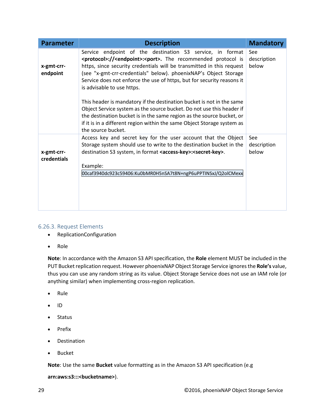| <b>Parameter</b>          | <b>Description</b>                                                                                                                                                                                                                                                                                                                                                                                             | <b>Mandatory</b>            |
|---------------------------|----------------------------------------------------------------------------------------------------------------------------------------------------------------------------------------------------------------------------------------------------------------------------------------------------------------------------------------------------------------------------------------------------------------|-----------------------------|
| x-gmt-crr-<br>endpoint    | Service endpoint of the destination S3 service, in format<br><protocol>://<endpoint>:<port>. The recommended protocol is<br/>https, since security credentials will be transmitted in this request<br/>(see "x-gmt-crr-credentials" below). phoenixNAP's Object Storage<br/>Service does not enforce the use of https, but for security reasons it<br/>is advisable to use https.</port></endpoint></protocol> |                             |
|                           | This header is mandatory if the destination bucket is not in the same<br>Object Service system as the source bucket. Do not use this header if<br>the destination bucket is in the same region as the source bucket, or<br>if it is in a different region within the same Object Storage system as<br>the source bucket.                                                                                       |                             |
| x-gmt-crr-<br>credentials | Access key and secret key for the user account that the Object<br>Storage system should use to write to the destination bucket in the<br>destination S3 system, in format <access-key>:<secret-key>.<br/>Example:<br/>00caf3940dc923c59406:Ku0bMR0H5nSA7t8N+ngP6uPPTINSxJ/Q2olCMexx</secret-key></access-key>                                                                                                  | See<br>description<br>below |

#### 6.26.3. Request Elements

- ReplicationConfiguration
- Role

**Note**: In accordance with the Amazon S3 API specification, the **Role** element MUST be included in the PUT Bucket replication request. However phoenixNAP Object Storage Service ignores the **Role's** value, thus you can use any random string as its value. Object Storage Service does not use an IAM role (or anything similar) when implementing cross-region replication.

- Rule
- ID
- Status
- Prefix
- Destination
- Bucket

**Note**: Use the same **Bucket** value formatting as in the Amazon S3 API specification (e.g

#### **arn:aws:s3:::<bucketname>**).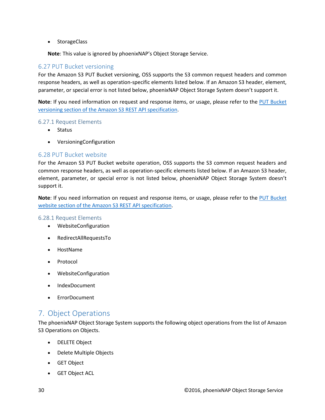• StorageClass

**Note**: This value is ignored by phoenixNAP's Object Storage Service.

#### <span id="page-29-0"></span>6.27 PUT Bucket versioning

For the Amazon S3 PUT Bucket versioning, OSS supports the S3 common request headers and common response headers, as well as operation-specific elements listed below. If an Amazon S3 header, element, parameter, or special error is not listed below, phoenixNAP Object Storage System doesn't support it.

**Note**: If you need information on request and response items, or usage, please refer to the [PUT Bucket](http://docs.aws.amazon.com/AmazonS3/latest/API/RESTBucketPUTVersioningStatus.html) versioning [section of the Amazon S3 REST API specification.](http://docs.aws.amazon.com/AmazonS3/latest/API/RESTBucketPUTVersioningStatus.html)

#### 6.27.1 Request Elements

- Status
- VersioningConfiguration

#### <span id="page-29-1"></span>6.28 PUT Bucket website

For the Amazon S3 PUT Bucket website operation, OSS supports the S3 common request headers and common response headers, as well as operation-specific elements listed below. If an Amazon S3 header, element, parameter, or special error is not listed below, phoenixNAP Object Storage System doesn't support it.

**Note**: If you need information on request and response items, or usage, please refer to the [PUT Bucket](http://docs.aws.amazon.com/AmazonS3/latest/API/RESTBucketPUTwebsite.html) website [section of the Amazon S3 REST API specification.](http://docs.aws.amazon.com/AmazonS3/latest/API/RESTBucketPUTwebsite.html)

#### 6.28.1 Request Elements

- WebsiteConfiguration
- RedirectAllRequestsTo
- HostName
- Protocol
- WebsiteConfiguration
- IndexDocument
- **ErrorDocument**

## <span id="page-29-2"></span>7. Object Operations

The phoenixNAP Object Storage System supports the following object operations from the list of Amazon S3 Operations on Objects.

- DELETE Object
- Delete Multiple Objects
- GET Object
- GET Object ACL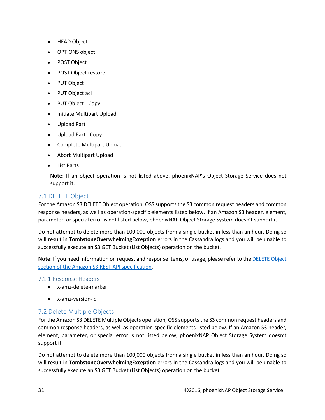- HEAD Object
- OPTIONS object
- POST Object
- POST Object restore
- PUT Object
- PUT Object acl
- PUT Object Copy
- Initiate Multipart Upload
- Upload Part
- Upload Part Copy
- Complete Multipart Upload
- Abort Multipart Upload
- List Parts

**Note**: If an object operation is not listed above, phoenixNAP's Object Storage Service does not support it.

#### <span id="page-30-0"></span>7.1 DELETE Object

For the Amazon S3 DELETE Object operation, OSS supports the S3 common request headers and common response headers, as well as operation-specific elements listed below. If an Amazon S3 header, element, parameter, or special error is not listed below, phoenixNAP Object Storage System doesn't support it.

Do not attempt to delete more than 100,000 objects from a single bucket in less than an hour. Doing so will result in **TombstoneOverwhelmingException** errors in the Cassandra logs and you will be unable to successfully execute an S3 GET Bucket (List Objects) operation on the bucket.

**Note**: If you need information on request and response items, or usage, please refer to th[e DELETE Object](http://docs.aws.amazon.com/AmazonS3/latest/API/RESTObjectDELETE.html) [section of the Amazon S3 REST API specification.](http://docs.aws.amazon.com/AmazonS3/latest/API/RESTObjectDELETE.html)

#### 7.1.1 Response Headers

- x-amz-delete-marker
- x-amz-version-id

#### <span id="page-30-1"></span>7.2 Delete Multiple Objects

For the Amazon S3 DELETE Multiple Objects operation, OSS supports the S3 common request headers and common response headers, as well as operation-specific elements listed below. If an Amazon S3 header, element, parameter, or special error is not listed below, phoenixNAP Object Storage System doesn't support it.

Do not attempt to delete more than 100,000 objects from a single bucket in less than an hour. Doing so will result in **TombstoneOverwhelmingException** errors in the Cassandra logs and you will be unable to successfully execute an S3 GET Bucket (List Objects) operation on the bucket.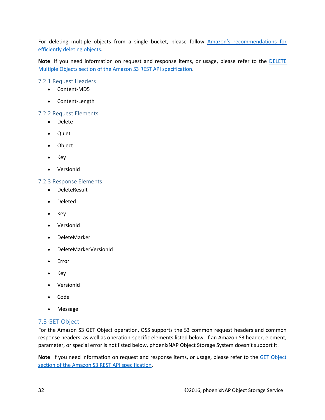For deleting multiple objects from a single bucket, please follow Amazon's recommendations for [efficiently deleting objects.](https://docs.aws.amazon.com/AmazonS3/latest/dev/request-rate-perf-considerations.html)

**Note**: If you need information on request and response items, or usage, please refer to the [DELETE](http://docs.aws.amazon.com/AmazonS3/latest/API/multiobjectdeleteapi.html)  Multiple Objects [section of the Amazon S3 REST API specification.](http://docs.aws.amazon.com/AmazonS3/latest/API/multiobjectdeleteapi.html)

7.2.1 Request Headers

- Content-MD5
- Content-Length

#### 7.2.2 Request Elements

- Delete
- Quiet
- Object
- Key
- VersionId

#### 7.2.3 Response Elements

- DeleteResult
- Deleted
- Key
- VersionId
- DeleteMarker
- DeleteMarkerVersionId
- Error
- Key
- VersionId
- Code
- Message

#### <span id="page-31-0"></span>7.3 GET Object

For the Amazon S3 GET Object operation, OSS supports the S3 common request headers and common response headers, as well as operation-specific elements listed below. If an Amazon S3 header, element, parameter, or special error is not listed below, phoenixNAP Object Storage System doesn't support it.

**Note**: If you need information on request and response items, or usage, please refer to the [GET Object](http://docs.aws.amazon.com/AmazonS3/latest/API/RESTObjectGET.html) [section of the Amazon S3 REST API specification.](http://docs.aws.amazon.com/AmazonS3/latest/API/RESTObjectGET.html)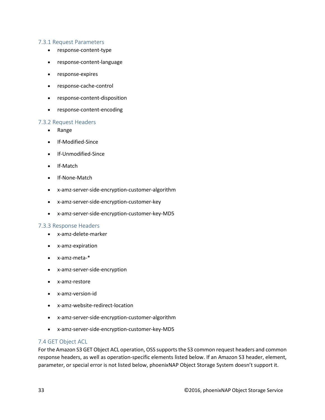#### 7.3.1 Request Parameters

- response-content-type
- response-content-language
- response-expires
- response-cache-control
- response-content-disposition
- response-content-encoding

#### 7.3.2 Request Headers

- Range
- If-Modified-Since
- If-Unmodified-Since
- If-Match
- If-None-Match
- x-amz-server-side-encryption-customer-algorithm
- x-amz-server-side-encryption-customer-key
- x-amz-server-side-encryption-customer-key-MD5

#### 7.3.3 Response Headers

- x-amz-delete-marker
- x-amz-expiration
- x-amz-meta-\*
- x-amz-server-side-encryption
- x-amz-restore
- x-amz-version-id
- x-amz-website-redirect-location
- x-amz-server-side-encryption-customer-algorithm
- x-amz-server-side-encryption-customer-key-MD5

#### 7.4 GET Object ACL

For the Amazon S3 GET Object ACL operation, OSS supports the S3 common request headers and common response headers, as well as operation-specific elements listed below. If an Amazon S3 header, element, parameter, or special error is not listed below, phoenixNAP Object Storage System doesn't support it.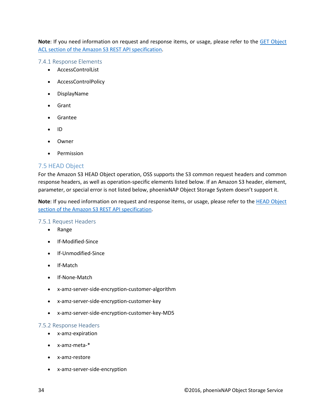**Note**: If you need information on request and response items, or usage, please refer to the [GET Object](http://docs.aws.amazon.com/AmazonS3/latest/API/RESTObjectGETacl.html) [ACL section of the Amazon S3 REST API specification.](http://docs.aws.amazon.com/AmazonS3/latest/API/RESTObjectGETacl.html)

7.4.1 Response Elements

- AccessControlList
- AccessControlPolicy
- DisplayName
- Grant
- Grantee
- ID
- Owner
- Permission

#### <span id="page-33-0"></span>7.5 HEAD Object

For the Amazon S3 HEAD Object operation, OSS supports the S3 common request headers and common response headers, as well as operation-specific elements listed below. If an Amazon S3 header, element, parameter, or special error is not listed below, phoenixNAP Object Storage System doesn't support it.

**Note**: If you need information on request and response items, or usage, please refer to the **HEAD** Object [section of the Amazon S3 REST API specification.](http://docs.aws.amazon.com/AmazonS3/latest/API/RESTObjectHEAD.html)

#### 7.5.1 Request Headers

- Range
- If-Modified-Since
- If-Unmodified-Since
- If-Match
- If-None-Match
- x-amz-server-side-encryption-customer-algorithm
- x-amz-server-side-encryption-customer-key
- x-amz-server-side-encryption-customer-key-MD5

#### 7.5.2 Response Headers

- x-amz-expiration
- x-amz-meta-\*
- x-amz-restore
- x-amz-server-side-encryption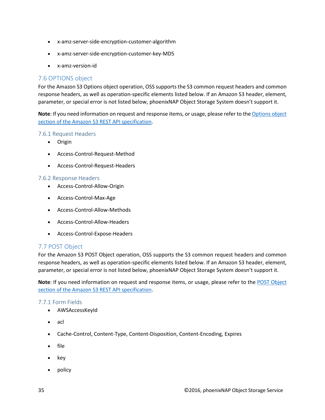- x-amz-server-side-encryption-customer-algorithm
- x-amz-server-side-encryption-customer-key-MD5
- x-amz-version-id

#### <span id="page-34-0"></span>7.6 OPTIONS object

For the Amazon S3 Options object operation, OSS supports the S3 common request headers and common response headers, as well as operation-specific elements listed below. If an Amazon S3 header, element, parameter, or special error is not listed below, phoenixNAP Object Storage System doesn't support it.

**Note**: If you need information on request and response items, or usage, please refer to th[e Options object](http://docs.aws.amazon.com/AmazonS3/latest/API/RESTOPTIONSobject.html) [section of the Amazon S3 REST API specification.](http://docs.aws.amazon.com/AmazonS3/latest/API/RESTOPTIONSobject.html)

#### 7.6.1 Request Headers

- Origin
- Access-Control-Request-Method
- Access-Control-Request-Headers

#### 7.6.2 Response Headers

- Access-Control-Allow-Origin
- Access-Control-Max-Age
- Access-Control-Allow-Methods
- Access-Control-Allow-Headers
- Access-Control-Expose-Headers

#### <span id="page-34-1"></span>7.7 POST Object

For the Amazon S3 POST Object operation, OSS supports the S3 common request headers and common response headers, as well as operation-specific elements listed below. If an Amazon S3 header, element, parameter, or special error is not listed below, phoenixNAP Object Storage System doesn't support it.

**Note**: If you need information on request and response items, or usage, please refer to the POST [Object](http://docs.aws.amazon.com/AmazonS3/latest/API/RESTObjectPOST.html) [section of the Amazon S3 REST API specification.](http://docs.aws.amazon.com/AmazonS3/latest/API/RESTObjectPOST.html)

#### 7.7.1 Form Fields

- AWSAccessKeyId
- acl
- Cache-Control, Content-Type, Content-Disposition, Content-Encoding, Expires
- file
- key
- policy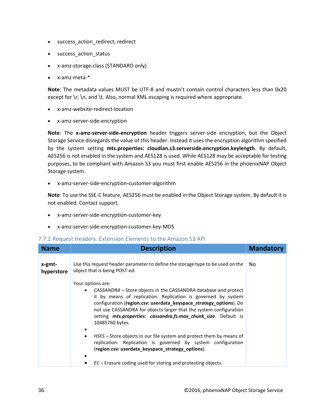- success\_action\_redirect, redirect
- success\_action\_status
- x-amz-storage-class (STANDARD only)
- x-amz-meta-\*

**Note**: The metadata values MUST be UTF-8 and mustn't contain control characters less than 0x20 except for  $\rceil$ ,  $\nceil$ , and  $\tceil$ . Also, normal XML escaping is required where appropriate.

- x-amz-website-redirect-location
- x-amz-server-side-encryption

**Note**: The **x-amz-server-side-encryption** header triggers server-side encryption, but the Object Storage Service disregards the value of this header. Instead it uses the encryption algorithm specified by the system setting **mts.properties: cloudian.s3.serverside.encryption.keylength**. By default, AES256 is not enabled in the system and AES128 is used. While AES128 may be acceptable for testing purposes, to be compliant with Amazon S3 you must first enable AES256 in the phoenixNAP Object Storage system.

• x-amz-server-side-encryption-customer-algorithm

**Note**: To use the SSE-C feature, AES256 must be enabled in the Object Storage system. By default it is not enabled. Contact support.

- x-amz-server-side-encryption-customer-key
- x-amz-server-side-encryption-customer-key-MD5

#### 7.7.2 Request Headers: Extension Elements to the Amazon S3 API

| <b>Name</b>          | <b>Description</b>                                                                                                                                                                                                                                                                                                                                                                                                                                                                                                                                                                                                                                                       | <b>Mandatory</b> |
|----------------------|--------------------------------------------------------------------------------------------------------------------------------------------------------------------------------------------------------------------------------------------------------------------------------------------------------------------------------------------------------------------------------------------------------------------------------------------------------------------------------------------------------------------------------------------------------------------------------------------------------------------------------------------------------------------------|------------------|
| x-gmt-<br>hyperstore | Use this request header parameter to define the storage type to be used on the<br>object that is being POST-ed.                                                                                                                                                                                                                                                                                                                                                                                                                                                                                                                                                          | No.              |
|                      | Your options are:<br>CASSANDRA – Store objects in the CASSANDRA database and protect<br>$\bullet$<br>it by means of replication. Replication is governed by system<br>configuration (region.csv: userdata_keyspace_strategy_options). Do<br>not use CASSANDRA for objects larger that the system configuration<br>setting mts.properties: cassandra.fs.max_chunk_size. Default is<br>10485760 bytes.<br>HSFS - Store objects in our file system and protect them by means of<br>٠<br>replication. Replication is governed by system configuration<br>(region.csv: userdata_keyspace_strategy_options).<br>$EC$ – Erasure coding used for storing and protecting objects. |                  |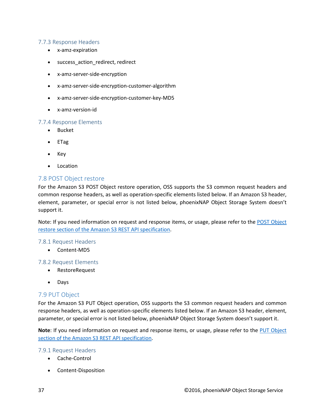#### 7.7.3 Response Headers

- x-amz-expiration
- success\_action\_redirect, redirect
- x-amz-server-side-encryption
- x-amz-server-side-encryption-customer-algorithm
- x-amz-server-side-encryption-customer-key-MD5
- x-amz-version-id

#### 7.7.4 Response Elements

- Bucket
- ETag
- Key
- Location

#### <span id="page-36-0"></span>7.8 POST Object restore

For the Amazon S3 POST Object restore operation, OSS supports the S3 common request headers and common response headers, as well as operation-specific elements listed below. If an Amazon S3 header, element, parameter, or special error is not listed below, phoenixNAP Object Storage System doesn't support it.

Note: If you need information on request and response items, or usage, please refer to the [POST Object](http://docs.aws.amazon.com/AmazonS3/latest/API/RESTObjectPOSTrestore.html)  [restore section of the Amazon S3 REST API specification.](http://docs.aws.amazon.com/AmazonS3/latest/API/RESTObjectPOSTrestore.html)

#### 7.8.1 Request Headers

• Content-MD5

#### 7.8.2 Request Elements

- RestoreRequest
- Days

#### <span id="page-36-1"></span>7.9 PUT Object

For the Amazon S3 PUT Object operation, OSS supports the S3 common request headers and common response headers, as well as operation-specific elements listed below. If an Amazon S3 header, element, parameter, or special error is not listed below, phoenixNAP Object Storage System doesn't support it.

**Note**: If you need information on request and response items, or usage, please refer to the [PUT Object](http://docs.aws.amazon.com/AmazonS3/latest/API/RESTObjectPUT.html) [section of the Amazon S3 REST API specification.](http://docs.aws.amazon.com/AmazonS3/latest/API/RESTObjectPUT.html)

#### 7.9.1 Request Headers

- Cache-Control
- Content-Disposition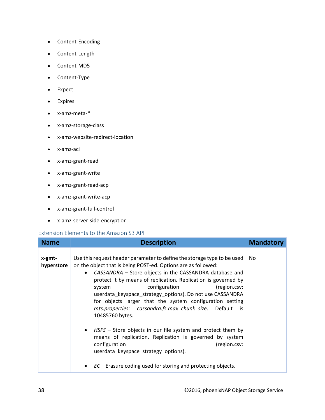- Content-Encoding
- Content-Length
- Content-MD5
- Content-Type
- Expect
- Expires
- x-amz-meta-\*
- x-amz-storage-class
- x-amz-website-redirect-location
- x-amz-acl
- x-amz-grant-read
- x-amz-grant-write
- x-amz-grant-read-acp
- x-amz-grant-write-acp
- x-amz-grant-full-control
- x-amz-server-side-encryption

#### Extension Elements to the Amazon S3 API

| <b>Name</b>          | <b>Description</b>                                                                                                                                                                                                                                                                                                                                                                                                                                                                                                                                                                                                                                                                                                                                                                                                                     | <b>Mandatory</b> |
|----------------------|----------------------------------------------------------------------------------------------------------------------------------------------------------------------------------------------------------------------------------------------------------------------------------------------------------------------------------------------------------------------------------------------------------------------------------------------------------------------------------------------------------------------------------------------------------------------------------------------------------------------------------------------------------------------------------------------------------------------------------------------------------------------------------------------------------------------------------------|------------------|
| x-gmt-<br>hyperstore | Use this request header parameter to define the storage type to be used<br>on the object that is being POST-ed. Options are as followed:<br>CASSANDRA - Store objects in the CASSANDRA database and<br>$\bullet$<br>protect it by means of replication. Replication is governed by<br>configuration<br>(region.csv:<br>system<br>userdata_keyspace_strategy_options). Do not use CASSANDRA<br>for objects larger that the system configuration setting<br>mts.properties: cassandra.fs.max chunk size. Default<br>is<br>10485760 bytes.<br>HSFS - Store objects in our file system and protect them by<br>$\bullet$<br>means of replication. Replication is governed by system<br>configuration<br>(region.csv:<br>userdata_keyspace_strategy_options).<br>$EC$ – Erasure coding used for storing and protecting objects.<br>$\bullet$ | No.              |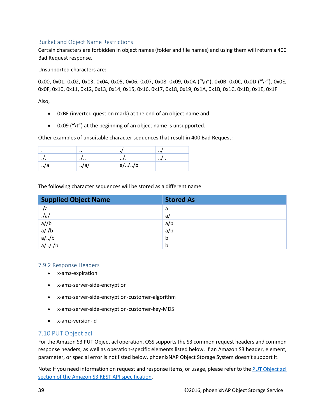#### Bucket and Object Name Restrictions

Certain characters are forbidden in object names (folder and file names) and using them will return a 400 Bad Request response.

Unsupported characters are:

0x00, 0x01, 0x02, 0x03, 0x04, 0x05, 0x06, 0x07, 0x08, 0x09, 0x0A ("\n"), 0x0B, 0x0C, 0x0D ("\r"), 0x0E, 0x0F, 0x10, 0x11, 0x12, 0x13, 0x14, 0x15, 0x16, 0x17, 0x18, 0x19, 0x1A, 0x1B, 0x1C, 0x1D, 0x1E, 0x1F

Also,

- 0xBF (inverted question mark) at the end of an object name and
- 0x09 ("\t") at the beginning of an object name is unsupported.

Other examples of unsuitable character sequences that result in 400 Bad Request:

|     | $\cdot\cdot$      |          | $\cdot \cdot$ |
|-----|-------------------|----------|---------------|
| .,  | $\cdot$ , $\cdot$ | $\cdots$ | $\cdots$      |
| ./a | ./a/              | $a/$ //b |               |

The following character sequences will be stored as a different name:

| <b>Supplied Object Name</b>                      | <b>Stored As</b> |
|--------------------------------------------------|------------------|
| ./a                                              | a                |
| $\frac{1}{a}$<br>a//b<br>a/./b<br>a//b<br>a//./b | a/               |
|                                                  | a/b              |
|                                                  | a/b              |
|                                                  | b                |
|                                                  | b                |

#### 7.9.2 Response Headers

- x-amz-expiration
- x-amz-server-side-encryption
- x-amz-server-side-encryption-customer-algorithm
- x-amz-server-side-encryption-customer-key-MD5
- x-amz-version-id

#### <span id="page-38-0"></span>7.10 PUT Object acl

For the Amazon S3 PUT Object acl operation, OSS supports the S3 common request headers and common response headers, as well as operation-specific elements listed below. If an Amazon S3 header, element, parameter, or special error is not listed below, phoenixNAP Object Storage System doesn't support it.

Note: If you need information on request and response items, or usage, please refer to the PUT Object acl [section of the Amazon S3 REST API specification.](http://docs.aws.amazon.com/AmazonS3/latest/API/RESTObjectPUTacl.html)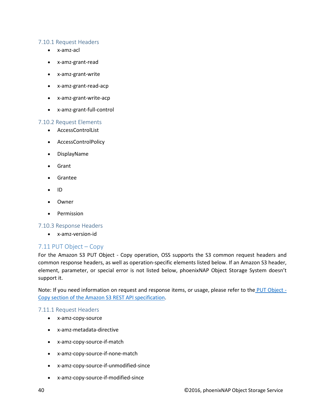#### 7.10.1 Request Headers

- x-amz-acl
- x-amz-grant-read
- x-amz-grant-write
- x-amz-grant-read-acp
- x-amz-grant-write-acp
- x-amz-grant-full-control

#### 7.10.2 Request Elements

- AccessControlList
- AccessControlPolicy
- DisplayName
- Grant
- Grantee
- ID
- Owner
- Permission

#### 7.10.3 Response Headers

• x-amz-version-id

#### <span id="page-39-0"></span>7.11 PUT Object – Copy

For the Amazon S3 PUT Object - Copy operation, OSS supports the S3 common request headers and common response headers, as well as operation-specific elements listed below. If an Amazon S3 header, element, parameter, or special error is not listed below, phoenixNAP Object Storage System doesn't support it.

Note: If you need information on request and response items, or usage, please refer to the [PUT Object -](http://docs.aws.amazon.com/AmazonS3/latest/API/RESTObjectCOPY.html) [Copy section of the Amazon S3 REST API specification.](http://docs.aws.amazon.com/AmazonS3/latest/API/RESTObjectCOPY.html)

#### 7.11.1 Request Headers

- x-amz-copy-source
- x-amz-metadata-directive
- x-amz-copy-source-if-match
- x-amz-copy-source-if-none-match
- x-amz-copy-source-if-unmodified-since
- x-amz-copy-source-if-modified-since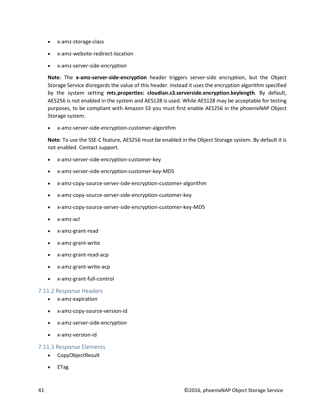- x-amz-storage-class
- x-amz-website-redirect-location
- x-amz-server-side-encryption

**Note**: The **x-amz-server-side-encryption** header triggers server-side encryption, but the Object Storage Service disregards the value of this header. Instead it uses the encryption algorithm specified by the system setting **mts.properties: cloudian.s3.serverside.encryption.keylength**. By default, AES256 is not enabled in the system and AES128 is used. While AES128 may be acceptable for testing purposes, to be compliant with Amazon S3 you must first enable AES256 in the phoenixNAP Object Storage system.

• x-amz-server-side-encryption-customer-algorithm

**Note**: To use the SSE-C feature, AES256 must be enabled in the Object Storage system. By default it is not enabled. Contact support.

- x-amz-server-side-encryption-customer-key
- x-amz-server-side-encryption-customer-key-MD5
- x-amz-copy-source-server-side-encryption-customer-algorithm
- x-amz-copy-source-server-side-encryption-customer-key
- x-amz-copy-source-server-side-encryption-customer-key-MD5
- x-amz-acl
- x-amz-grant-read
- x-amz-grant-write
- x-amz-grant-read-acp
- x-amz-grant-write-acp
- x-amz-grant-full-control

#### 7.11.2 Response Headers

- x-amz-expiration
- x-amz-copy-source-version-id
- x-amz-server-side-encryption
- x-amz-version-id

#### 7.11.3 Response Elements

- CopyObjectResult
- ETag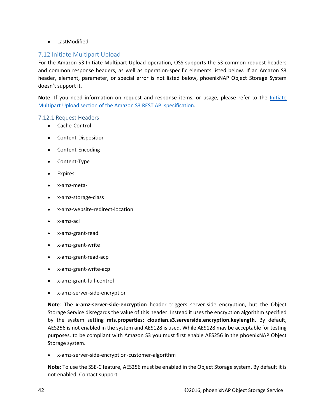• LastModified

#### <span id="page-41-0"></span>7.12 Initiate Multipart Upload

For the Amazon S3 Initiate Multipart Upload operation, OSS supports the S3 common request headers and common response headers, as well as operation-specific elements listed below. If an Amazon S3 header, element, parameter, or special error is not listed below, phoenixNAP Object Storage System doesn't support it.

**Note**: If you need information on request and response items, or usage, please refer to the *Initiate* Multipart Upload [section of the Amazon S3 REST API specification.](http://docs.aws.amazon.com/AmazonS3/latest/API/mpUploadInitiate.html)

#### 7.12.1 Request Headers

- Cache-Control
- Content-Disposition
- Content-Encoding
- Content-Type
- Expires
- x-amz-meta-
- x-amz-storage-class
- x-amz-website-redirect-location
- x-amz-acl
- x-amz-grant-read
- x-amz-grant-write
- x-amz-grant-read-acp
- x-amz-grant-write-acp
- x-amz-grant-full-control
- x-amz-server-side-encryption

**Note**: The **x-amz-server-side-encryption** header triggers server-side encryption, but the Object Storage Service disregards the value of this header. Instead it uses the encryption algorithm specified by the system setting **mts.properties: cloudian.s3.serverside.encryption.keylength**. By default, AES256 is not enabled in the system and AES128 is used. While AES128 may be acceptable for testing purposes, to be compliant with Amazon S3 you must first enable AES256 in the phoenixNAP Object Storage system.

• x-amz-server-side-encryption-customer-algorithm

**Note**: To use the SSE-C feature, AES256 must be enabled in the Object Storage system. By default it is not enabled. Contact support.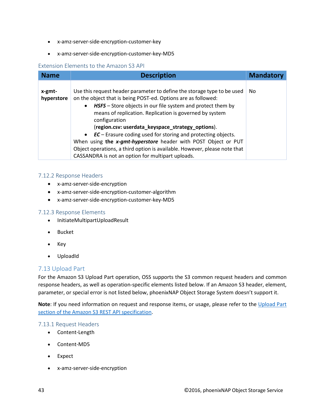- x-amz-server-side-encryption-customer-key
- x-amz-server-side-encryption-customer-key-MD5

#### Extension Elements to the Amazon S3 API

| <b>Name</b>          | <b>Description</b>                                                                                                                                                                                                                                                                                                                                                                                                                                                                                                                                                                                                          | <b>Mandatory</b> |
|----------------------|-----------------------------------------------------------------------------------------------------------------------------------------------------------------------------------------------------------------------------------------------------------------------------------------------------------------------------------------------------------------------------------------------------------------------------------------------------------------------------------------------------------------------------------------------------------------------------------------------------------------------------|------------------|
| x-gmt-<br>hyperstore | Use this request header parameter to define the storage type to be used<br>on the object that is being POST-ed. Options are as followed:<br>HSFS – Store objects in our file system and protect them by<br>$\bullet$<br>means of replication. Replication is governed by system<br>configuration<br>(region.csv: userdata_keyspace_strategy_options).<br>• EC – Erasure coding used for storing and protecting objects.<br>When using the x-gmt-hyperstore header with POST Object or PUT<br>Object operations, a third option is available. However, please note that<br>CASSANDRA is not an option for multipart uploads. | No.              |

#### 7.12.2 Response Headers

- x-amz-server-side-encryption
- x-amz-server-side-encryption-customer-algorithm
- x-amz-server-side-encryption-customer-key-MD5

#### 7.12.3 Response Elements

- InitiateMultipartUploadResult
- Bucket
- Key
- UploadId

#### <span id="page-42-0"></span>7.13 Upload Part

For the Amazon S3 Upload Part operation, OSS supports the S3 common request headers and common response headers, as well as operation-specific elements listed below. If an Amazon S3 header, element, parameter, or special error is not listed below, phoenixNAP Object Storage System doesn't support it.

**Note**: If you need information on request and response items, or usage, please refer to the [Upload Part](http://docs.aws.amazon.com/AmazonS3/latest/API/mpUploadUploadPart.html)  [section of the Amazon S3 REST API specification.](http://docs.aws.amazon.com/AmazonS3/latest/API/mpUploadUploadPart.html)

#### 7.13.1 Request Headers

- Content-Length
- Content-MD5
- Expect
- x-amz-server-side-encryption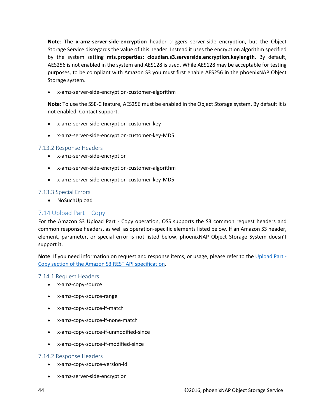**Note**: The **x-amz-server-side-encryption** header triggers server-side encryption, but the Object Storage Service disregards the value of this header. Instead it uses the encryption algorithm specified by the system setting **mts.properties: cloudian.s3.serverside.encryption.keylength**. By default, AES256 is not enabled in the system and AES128 is used. While AES128 may be acceptable for testing purposes, to be compliant with Amazon S3 you must first enable AES256 in the phoenixNAP Object Storage system.

• x-amz-server-side-encryption-customer-algorithm

**Note**: To use the SSE-C feature, AES256 must be enabled in the Object Storage system. By default it is not enabled. Contact support.

- x-amz-server-side-encryption-customer-key
- x-amz-server-side-encryption-customer-key-MD5

#### 7.13.2 Response Headers

- x-amz-server-side-encryption
- x-amz-server-side-encryption-customer-algorithm
- x-amz-server-side-encryption-customer-key-MD5

#### 7.13.3 Special Errors

• NoSuchUpload

#### <span id="page-43-0"></span>7.14 Upload Part – Copy

For the Amazon S3 Upload Part - Copy operation, OSS supports the S3 common request headers and common response headers, as well as operation-specific elements listed below. If an Amazon S3 header, element, parameter, or special error is not listed below, phoenixNAP Object Storage System doesn't support it.

**Note**: If you need information on request and response items, or usage, please refer to the [Upload Part -](http://docs.aws.amazon.com/AmazonS3/latest/API/mpUploadUploadPartCopy.html) [Copy section of the Amazon S3 REST API specification.](http://docs.aws.amazon.com/AmazonS3/latest/API/mpUploadUploadPartCopy.html)

#### 7.14.1 Request Headers

- x-amz-copy-source
- x-amz-copy-source-range
- x-amz-copy-source-if-match
- x-amz-copy-source-if-none-match
- x-amz-copy-source-if-unmodified-since
- x-amz-copy-source-if-modified-since

#### 7.14.2 Response Headers

- x-amz-copy-source-version-id
- x-amz-server-side-encryption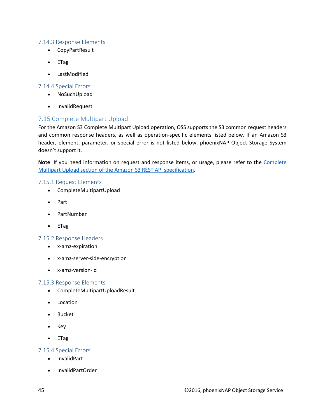#### 7.14.3 Response Elements

- CopyPartResult
- ETag
- LastModified

#### 7.14.4 Special Errors

- NoSuchUpload
- InvalidRequest

#### <span id="page-44-0"></span>7.15 Complete Multipart Upload

For the Amazon S3 Complete Multipart Upload operation, OSS supports the S3 common request headers and common response headers, as well as operation-specific elements listed below. If an Amazon S3 header, element, parameter, or special error is not listed below, phoenixNAP Object Storage System doesn't support it.

Note: If you need information on request and response items, or usage, please refer to the Complete [Multipart Upload section of the Amazon S3 REST API specification.](http://docs.aws.amazon.com/AmazonS3/latest/API/mpUploadComplete.html)

#### 7.15.1 Request Elements

- CompleteMultipartUpload
- Part
- PartNumber
- ETag

#### 7.15.2 Response Headers

- x-amz-expiration
- x-amz-server-side-encryption
- x-amz-version-id

#### 7.15.3 Response Elements

- CompleteMultipartUploadResult
- Location
- Bucket
- Key
- ETag

#### 7.15.4 Special Errors

- InvalidPart
- InvalidPartOrder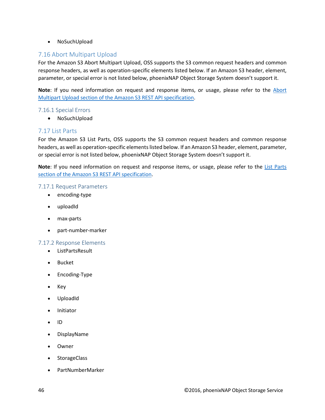• NoSuchUpload

#### <span id="page-45-0"></span>7.16 Abort Multipart Upload

For the Amazon S3 Abort Multipart Upload, OSS supports the S3 common request headers and common response headers, as well as operation-specific elements listed below. If an Amazon S3 header, element, parameter, or special error is not listed below, phoenixNAP Object Storage System doesn't support it.

**Note**: If you need information on request and response items, or usage, please refer to the [Abort](http://docs.aws.amazon.com/AmazonS3/latest/API/mpUploadAbort.html)  [Multipart Upload section of the Amazon S3 REST API specification.](http://docs.aws.amazon.com/AmazonS3/latest/API/mpUploadAbort.html)

#### 7.16.1 Special Errors

• NoSuchUpload

#### <span id="page-45-1"></span>7.17 List Parts

For the Amazon S3 List Parts, OSS supports the S3 common request headers and common response headers, as well as operation-specific elements listed below. If an Amazon S3 header, element, parameter, or special error is not listed below, phoenixNAP Object Storage System doesn't support it.

**Note**: If you need information on request and response items, or usage, please refer to the [List Parts](http://docs.aws.amazon.com/AmazonS3/latest/API/mpUploadListParts.html)  [section of the Amazon S3 REST API specification.](http://docs.aws.amazon.com/AmazonS3/latest/API/mpUploadListParts.html)

#### 7.17.1 Request Parameters

- encoding-type
- uploadId
- max-parts
- part-number-marker

#### 7.17.2 Response Elements

- ListPartsResult
- Bucket
- Encoding-Type
- Key
- UploadId
- Initiator
- ID
- DisplayName
- Owner
- StorageClass
- PartNumberMarker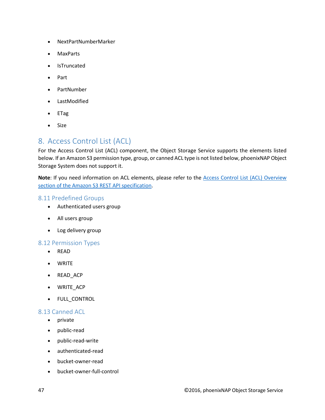- NextPartNumberMarker
- MaxParts
- IsTruncated
- Part
- PartNumber
- LastModified
- ETag
- Size

## <span id="page-46-0"></span>8. Access Control List (ACL)

For the Access Control List (ACL) component, the Object Storage Service supports the elements listed below. If an Amazon S3 permission type, group, or canned ACL type is not listed below, phoenixNAP Object Storage System does not support it.

**Note**: If you need information on ACL elements, please refer to the [Access Control List \(ACL\) Overview](http://docs.aws.amazon.com/AmazonS3/latest/dev/acl-overview.html) [section of the Amazon S3 REST API specification.](http://docs.aws.amazon.com/AmazonS3/latest/dev/acl-overview.html)

#### <span id="page-46-1"></span>8.11 Predefined Groups

- Authenticated users group
- All users group
- Log delivery group

#### <span id="page-46-2"></span>8.12 Permission Types

- READ
- WRITE
- READ\_ACP
- WRITE\_ACP
- FULL\_CONTROL

#### <span id="page-46-3"></span>8.13 Canned ACL

- private
- public-read
- public-read-write
- authenticated-read
- bucket-owner-read
- bucket-owner-full-control